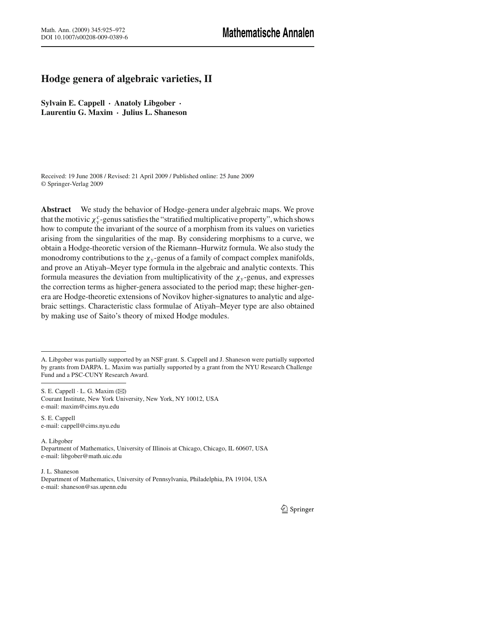# **Hodge genera of algebraic varieties, II**

**Sylvain E. Cappell** · **Anatoly Libgober** · **Laurentiu G. Maxim** · **Julius L. Shaneson**

Received: 19 June 2008 / Revised: 21 April 2009 / Published online: 25 June 2009 © Springer-Verlag 2009

**Abstract** We study the behavior of Hodge-genera under algebraic maps. We prove that the motivic  $\chi^c_y$ -genus satisfies the "stratified multiplicative property", which shows how to compute the invariant of the source of a morphism from its values on varieties arising from the singularities of the map. By considering morphisms to a curve, we obtain a Hodge-theoretic version of the Riemann–Hurwitz formula. We also study the monodromy contributions to the  $\chi_{y}$ -genus of a family of compact complex manifolds, and prove an Atiyah–Meyer type formula in the algebraic and analytic contexts. This formula measures the deviation from multiplicativity of the  $\chi_{v}$ -genus, and expresses the correction terms as higher-genera associated to the period map; these higher-genera are Hodge-theoretic extensions of Novikov higher-signatures to analytic and algebraic settings. Characteristic class formulae of Atiyah–Meyer type are also obtained by making use of Saito's theory of mixed Hodge modules.

S. E. Cappell e-mail: cappell@cims.nyu.edu

A. Libgober Department of Mathematics, University of Illinois at Chicago, Chicago, IL 60607, USA e-mail: libgober@math.uic.edu

J. L. Shaneson Department of Mathematics, University of Pennsylvania, Philadelphia, PA 19104, USA e-mail: shaneson@sas.upenn.edu

A. Libgober was partially supported by an NSF grant. S. Cappell and J. Shaneson were partially supported by grants from DARPA. L. Maxim was partially supported by a grant from the NYU Research Challenge Fund and a PSC-CUNY Research Award.

S. E. Cappell  $\cdot$  L. G. Maxim ( $\boxtimes$ ) Courant Institute, New York University, New York, NY 10012, USA e-mail: maxim@cims.nyu.edu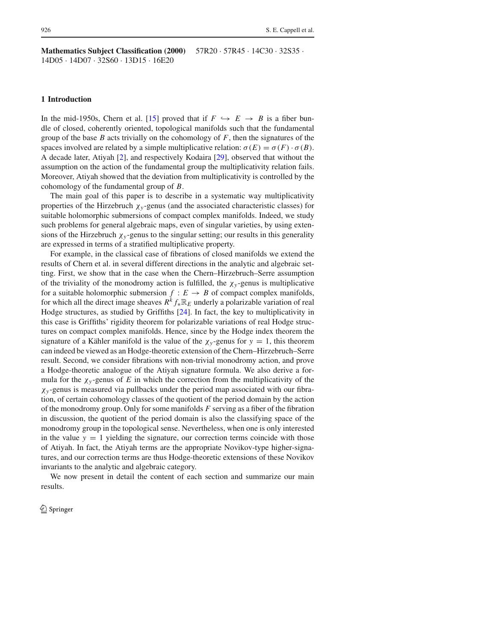**Mathematics Subject Classification (2000)** 57R20 · 57R45 · 14C30 · 32S35 · 14D05 · 14D07 · 32S60 · 13D15 · 16E20

#### **1 Introduction**

In the mid-1950s, Chern et al. [15] proved that if  $F \hookrightarrow E \rightarrow B$  is a fiber bundle of closed, coherently oriented, topological manifolds such that the fundamental group of the base *B* acts trivially on the cohomology of *F*, then the signatures of the spaces involved are related by a simple multiplicative relation:  $\sigma(E) = \sigma(F) \cdot \sigma(B)$ . A decade later, Atiyah [2], and respectively Kodaira [29], observed that without the assumption on the action of the fundamental group the multiplicativity relation fails. Moreover, Atiyah showed that the deviation from multiplicativity is controlled by the cohomology of the fundamental group of *B*.

The main goal of this paper is to describe in a systematic way multiplicativity properties of the Hirzebruch  $\chi_{v}$ -genus (and the associated characteristic classes) for suitable holomorphic submersions of compact complex manifolds. Indeed, we study such problems for general algebraic maps, even of singular varieties, by using extensions of the Hirzebruch  $\chi_y$ -genus to the singular setting; our results in this generality are expressed in terms of a stratified multiplicative property.

For example, in the classical case of fibrations of closed manifolds we extend the results of Chern et al. in several different directions in the analytic and algebraic setting. First, we show that in the case when the Chern–Hirzebruch–Serre assumption of the triviality of the monodromy action is fulfilled, the  $\chi_{\nu}$ -genus is multiplicative for a suitable holomorphic submersion  $f : E \to B$  of compact complex manifolds, for which all the direct image sheaves  $R^k f_* \mathbb{R}_E$  underly a polarizable variation of real Hodge structures, as studied by Griffiths [24]. In fact, the key to multiplicativity in this case is Griffiths' rigidity theorem for polarizable variations of real Hodge structures on compact complex manifolds. Hence, since by the Hodge index theorem the signature of a Kähler manifold is the value of the  $\chi_y$ -genus for  $y = 1$ , this theorem can indeed be viewed as an Hodge-theoretic extension of the Chern–Hirzebruch–Serre result. Second, we consider fibrations with non-trivial monodromy action, and prove a Hodge-theoretic analogue of the Atiyah signature formula. We also derive a formula for the  $\chi_{y}$ -genus of *E* in which the correction from the multiplicativity of the  $\chi$ <sub>y</sub>-genus is measured via pullbacks under the period map associated with our fibration, of certain cohomology classes of the quotient of the period domain by the action of the monodromy group. Only for some manifolds *F* serving as a fiber of the fibration in discussion, the quotient of the period domain is also the classifying space of the monodromy group in the topological sense. Nevertheless, when one is only interested in the value  $y = 1$  yielding the signature, our correction terms coincide with those of Atiyah. In fact, the Atiyah terms are the appropriate Novikov-type higher-signatures, and our correction terms are thus Hodge-theoretic extensions of these Novikov invariants to the analytic and algebraic category.

We now present in detail the content of each section and summarize our main results.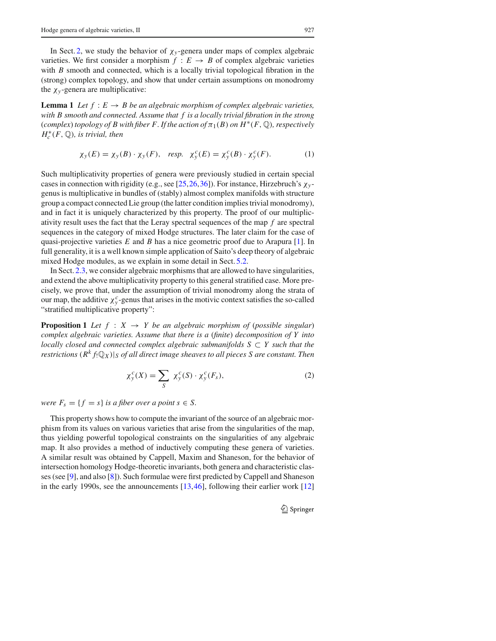In Sect. 2, we study the behavior of  $\chi_{v}$ -genera under maps of complex algebraic varieties. We first consider a morphism  $f : E \to B$  of complex algebraic varieties with *B* smooth and connected, which is a locally trivial topological fibration in the (strong) complex topology, and show that under certain assumptions on monodromy the  $\chi$ <sub>*y*</sub>-genera are multiplicative:

**Lemma 1** *Let*  $f : E \to B$  *be an algebraic morphism of complex algebraic varieties, with B smooth and connected. Assume that f is a locally trivial fibration in the strong*  $(complex)$  *topology of B with fiber F. If the action of*  $\pi_1(B)$  *on*  $H^*(F, \mathbb{Q})$ *, respectively H*∗ *<sup>c</sup> (F,* Q*), is trivial, then*

$$
\chi_{y}(E) = \chi_{y}(B) \cdot \chi_{y}(F), \quad resp. \quad \chi_{y}^{c}(E) = \chi_{y}^{c}(B) \cdot \chi_{y}^{c}(F). \tag{1}
$$

Such multiplicativity properties of genera were previously studied in certain special cases in connection with rigidity (e.g., see [25,26,36]). For instance, Hirzebruch's χ*<sup>y</sup>* genus is multiplicative in bundles of (stably) almost complex manifolds with structure group a compact connected Lie group (the latter condition implies trivial monodromy), and in fact it is uniquely characterized by this property. The proof of our multiplicativity result uses the fact that the Leray spectral sequences of the map *f* are spectral sequences in the category of mixed Hodge structures. The later claim for the case of quasi-projective varieties *E* and *B* has a nice geometric proof due to Arapura [1]. In full generality, it is a well known simple application of Saito's deep theory of algebraic mixed Hodge modules, as we explain in some detail in Sect. 5.2.

In Sect. 2.3, we consider algebraic morphisms that are allowed to have singularities, and extend the above multiplicativity property to this general stratified case. More precisely, we prove that, under the assumption of trivial monodromy along the strata of our map, the additive  $\chi^c_y$ -genus that arises in the motivic context satisfies the so-called "stratified multiplicative property":

**Proposition 1** *Let*  $f : X \rightarrow Y$  *be an algebraic morphism of (possible singular) complex algebraic varieties. Assume that there is a* (*finite*) *decomposition of Y into locally closed and connected complex algebraic submanifolds S* ⊂ *Y such that the restrictions*  $(R<sup>k</sup> f<sub>!</sub>Q<sub>X</sub>)|<sub>S</sub>$  *of all direct image sheaves to all pieces S are constant. Then* 

$$
\chi_y^c(X) = \sum_S \chi_y^c(S) \cdot \chi_y^c(F_s),\tag{2}
$$

*were*  $F_s = \{f = s\}$  *is a fiber over a point s*  $\in S$ .

This property shows how to compute the invariant of the source of an algebraic morphism from its values on various varieties that arise from the singularities of the map, thus yielding powerful topological constraints on the singularities of any algebraic map. It also provides a method of inductively computing these genera of varieties. A similar result was obtained by Cappell, Maxim and Shaneson, for the behavior of intersection homology Hodge-theoretic invariants, both genera and characteristic classes (see [9], and also [8]). Such formulae were first predicted by Cappell and Shaneson in the early 1990s, see the announcements [13,46], following their earlier work [12]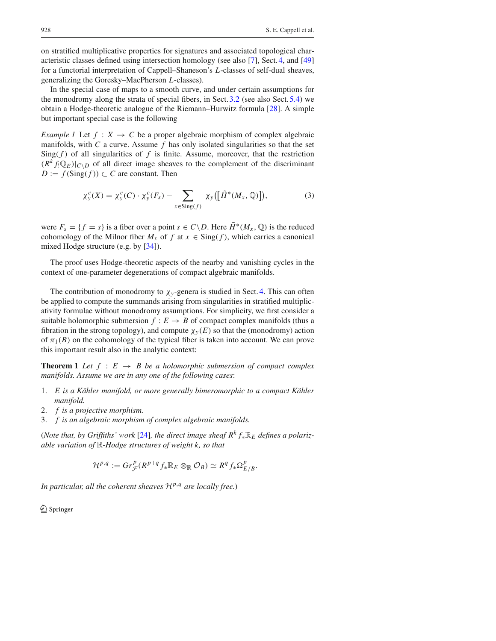on stratified multiplicative properties for signatures and associated topological characteristic classes defined using intersection homology (see also [7], Sect. 4, and [49] for a functorial interpretation of Cappell–Shaneson's *L*-classes of self-dual sheaves, generalizing the Goresky–MacPherson *L*-classes).

In the special case of maps to a smooth curve, and under certain assumptions for the monodromy along the strata of special fibers, in Sect.3.2 (see also Sect. 5.4) we obtain a Hodge-theoretic analogue of the Riemann–Hurwitz formula [28]. A simple but important special case is the following

*Example 1* Let  $f : X \to C$  be a proper algebraic morphism of complex algebraic manifolds, with *C* a curve. Assume *f* has only isolated singularities so that the set  $\text{Sing}(f)$  of all singularities of  $f$  is finite. Assume, moreover, that the restriction  $(R<sup>k</sup> f<sub>!</sub>Q<sub>E</sub>)|<sub>C\setminus D</sub>$  of all direct image sheaves to the complement of the discriminant  $D := f(\text{Sing}(f)) \subset C$  are constant. Then

$$
\chi_{y}^{c}(X) = \chi_{y}^{c}(C) \cdot \chi_{y}^{c}(F_{s}) - \sum_{x \in \text{Sing}(f)} \chi_{y}([\tilde{H}^{*}(M_{x}, \mathbb{Q})]), \tag{3}
$$

were  $F_s = \{f = s\}$  is a fiber over a point  $s \in C \backslash D$ . Here  $\tilde{H}^*(M_x, \mathbb{Q})$  is the reduced cohomology of the Milnor fiber  $M_x$  of f at  $x \in \text{Sing}(f)$ , which carries a canonical mixed Hodge structure (e.g. by [34]).

The proof uses Hodge-theoretic aspects of the nearby and vanishing cycles in the context of one-parameter degenerations of compact algebraic manifolds.

The contribution of monodromy to  $\chi_{v}$ -genera is studied in Sect. 4. This can often be applied to compute the summands arising from singularities in stratified multiplicativity formulae without monodromy assumptions. For simplicity, we first consider a suitable holomorphic submersion  $f : E \to B$  of compact complex manifolds (thus a fibration in the strong topology), and compute  $\chi_{\nu}(E)$  so that the (monodromy) action of  $\pi_1(B)$  on the cohomology of the typical fiber is taken into account. We can prove this important result also in the analytic context:

**Theorem 1** *Let*  $f : E \rightarrow B$  *be a holomorphic submersion of compact complex manifolds. Assume we are in any one of the following cases*:

- 1. *E is a Kähler manifold, or more generally bimeromorphic to a compact Kähler manifold.*
- 2. *f is a projective morphism.*
- 3. *f is an algebraic morphism of complex algebraic manifolds.*

(*Note that, by Griffiths' work* [24]*, the direct image sheaf*  $R^k f_* \mathbb{R}_E$  *defines a polarizable variation of* R*-Hodge structures of weight k, so that*

$$
\mathcal{H}^{p,q}:= Gr_{\mathcal{F}}^p(R^{p+q} f_* \mathbb{R}_E \otimes_{\mathbb{R}} \mathcal{O}_B) \simeq R^q f_* \Omega_{E/B}^p.
$$

*In particular, all the coherent sheaves*  $\mathcal{H}^{p,q}$  *are locally free.*)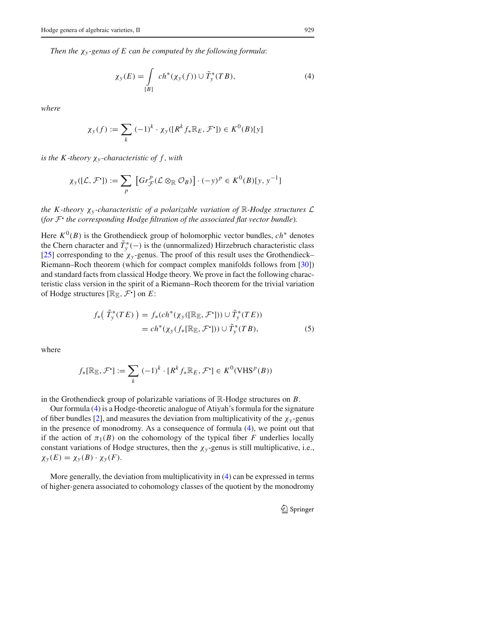*Then the* χ*<sup>y</sup> -genus of E can be computed by the following formula*:

$$
\chi_{\mathcal{Y}}(E) = \int\limits_{[B]} ch^*(\chi_{\mathcal{Y}}(f)) \cup \tilde{T}_{\mathcal{Y}}^*(TB),\tag{4}
$$

*where*

$$
\chi_{y}(f) := \sum_{k} (-1)^{k} \cdot \chi_{y}([R^{k} f_{*} \mathbb{R}_{E}, \mathcal{F}^{\bullet}]) \in K^{0}(B)[y]
$$

*is the K-theory*  $\chi_{y}$ -*characteristic of f, with* 

$$
\chi_{y}([\mathcal{L}, \mathcal{F}']) := \sum_{p} \left[ Gr_{\mathcal{F}}^{p}(\mathcal{L} \otimes_{\mathbb{R}} \mathcal{O}_{B}) \right] \cdot (-y)^{p} \in K^{0}(B)[y, y^{-1}]
$$

*the K-theory*  $\chi$ *y-characteristic of a polarizable variation of*  $\mathbb{R}$ -*Hodge structures*  $\mathcal{L}$ (*for <sup>F</sup>*! *the corresponding Hodge filtration of the associated flat vector bundle*)*.*

Here  $K^0(B)$  is the Grothendieck group of holomorphic vector bundles,  $ch^*$  denotes the Chern character and  $T^*_{y}(-)$  is the (unnormalized) Hirzebruch characteristic class [25] corresponding to the  $\chi_y$ -genus. The proof of this result uses the Grothendieck– Riemann–Roch theorem (which for compact complex manifolds follows from [30]) and standard facts from classical Hodge theory. We prove in fact the following characteristic class version in the spirit of a Riemann–Roch theorem for the trivial variation of Hodge structures  $[\mathbb{R}_{\mathbb{E}}, \mathcal{F}^{\bullet}]$  on  $E$ :

$$
f_*\big(\tilde{T}_y^*(TE)\big) = f_*\left(ch^*(\chi_y([\mathbb{R}_{\mathbb{E}}, \mathcal{F}^{\cdot}])) \cup \tilde{T}_y^*(TE)\right)
$$
  
=  $ch^*(\chi_y(f_*[\mathbb{R}_{\mathbb{E}}, \mathcal{F}^{\cdot}])) \cup \tilde{T}_y^*(TB),$  (5)

where

$$
f_*[\mathbb{R}_{\mathbb{E}}, \mathcal{F}'] := \sum_k (-1)^k \cdot [R^k f_* \mathbb{R}_E, \mathcal{F}'] \in K^0(\text{VHS}^p(B))
$$

in the Grothendieck group of polarizable variations of R-Hodge structures on *B*.

Our formula (4) is a Hodge-theoretic analogue of Atiyah's formula for the signature of fiber bundles [2], and measures the deviation from multiplicativity of the  $\chi_y$ -genus in the presence of monodromy. As a consequence of formula (4), we point out that if the action of  $\pi_1(B)$  on the cohomology of the typical fiber *F* underlies locally constant variations of Hodge structures, then the  $\chi_y$ -genus is still multiplicative, i.e.,  $\chi_y(E) = \chi_y(B) \cdot \chi_y(F)$ .

More generally, the deviation from multiplicativity in (4) can be expressed in terms of higher-genera associated to cohomology classes of the quotient by the monodromy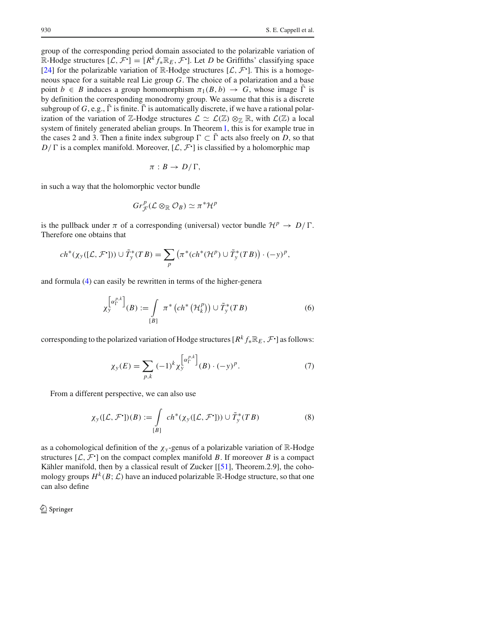group of the corresponding period domain associated to the polarizable variation of R-Hodge structures  $[\mathcal{L}, \mathcal{F}^{\bullet}] = [R^k f_* \mathbb{R}_E, \mathcal{F}^{\bullet}]$ . Let *D* be Griffiths' classifying space [24] for the polarizable variation of  $\mathbb{R}$ -Hodge structures  $[\mathcal{L}, \mathcal{F}^{\bullet}]$ . This is a homogeneous space for a suitable real Lie group *G*. The choice of a polarization and a base point  $b \in B$  induces a group homomorphism  $\pi_1(B, b) \to G$ , whose image  $\Gamma$  is by definition the corresponding monodromy group. We assume that this is a discrete subgroup of  $G$ , e.g.,  $\Gamma$  is finite.  $\Gamma$  is automatically discrete, if we have a rational polarization of the variation of Z-Hodge structures  $\mathcal{L} \simeq \mathcal{L}(\mathbb{Z}) \otimes_{\mathbb{Z}} \mathbb{R}$ , with  $\mathcal{L}(\mathbb{Z})$  a local system of finitely generated abelian groups. In Theorem1, this is for example true in the cases 2 and 3. Then a finite index subgroup  $\Gamma \subset \overline{\Gamma}$  acts also freely on *D*, so that  $D/\Gamma$  is a complex manifold. Moreover,  $[\mathcal{L}, \mathcal{F}^{\bullet}]$  is classified by a holomorphic map

$$
\pi:B\to D/\Gamma,
$$

in such a way that the holomorphic vector bundle

$$
Gr_{\mathcal{F}}^p(\mathcal{L}\otimes_{\mathbb{R}}\mathcal{O}_B)\simeq \pi^*\mathcal{H}^p
$$

is the pullback under  $\pi$  of a corresponding (universal) vector bundle  $\mathcal{H}^p \to D/\Gamma$ . Therefore one obtains that

$$
ch^*(\chi_y([L, \mathcal{F}^{\bullet}])) \cup \tilde{T}_y^*(TB) = \sum_p \left( \pi^*(ch^*(\mathcal{H}^p) \cup \tilde{T}_y^*(TB)) \cdot (-y)^p, \right)
$$

and formula (4) can easily be rewritten in terms of the higher-genera

$$
\chi_{\mathbf{y}}^{\left[\alpha_{\Gamma}^{p,k}\right]}(B) := \int\limits_{[B]} \pi^* \left(ch^*\left(\mathcal{H}_k^p\right)\right) \cup \tilde{T}_{\mathbf{y}}^*(TB) \tag{6}
$$

corresponding to the polarized variation of Hodge structures [ $R^k f_* \mathbb{R}_E$ ,  $\mathcal{F}^{\bullet}$ ] as follows:

$$
\chi_{y}(E) = \sum_{p,k} (-1)^{k} \chi_{y}^{\left[\alpha_{\Gamma}^{p,k}\right]}(B) \cdot (-y)^{p}.
$$
 (7)

From a different perspective, we can also use

$$
\chi_{\mathcal{Y}}([\mathcal{L}, \mathcal{F}^{\bullet}]) (B) := \int_{[B]} ch^*(\chi_{\mathcal{Y}}([\mathcal{L}, \mathcal{F}^{\bullet}])) \cup \tilde{T}_{\mathcal{Y}}^*(TB)
$$
(8)

as a cohomological definition of the  $\chi_y$ -genus of a polarizable variation of R-Hodge structures  $[L, \mathcal{F}^{\bullet}]$  on the compact complex manifold *B*. If moreover *B* is a compact Kähler manifold, then by a classical result of Zucker [[51], Theorem.2.9], the cohomology groups  $H^k(B; \mathcal{L})$  have an induced polarizable  $\mathbb{R}$ -Hodge structure, so that one can also define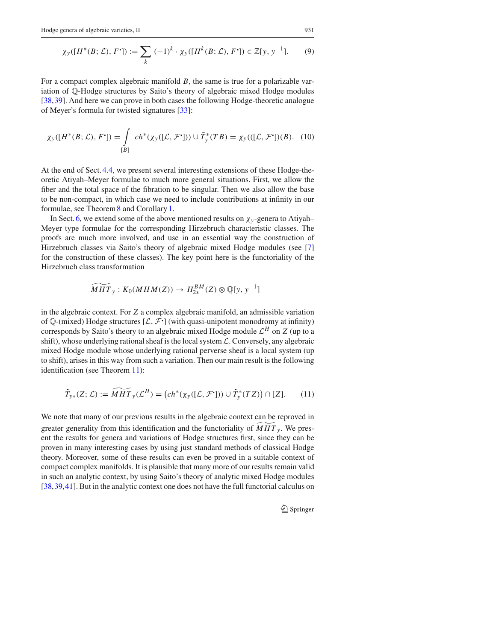$$
\chi_{y}([H^{*}(B; \mathcal{L}), F^{*}]) := \sum_{k} (-1)^{k} \cdot \chi_{y}([H^{k}(B; \mathcal{L}), F^{*}]) \in \mathbb{Z}[y, y^{-1}]. \tag{9}
$$

For a compact complex algebraic manifold *B*, the same is true for a polarizable variation of Q-Hodge structures by Saito's theory of algebraic mixed Hodge modules [38,39]. And here we can prove in both cases the following Hodge-theoretic analogue of Meyer's formula for twisted signatures [33]:

$$
\chi_{\mathcal{Y}}([H^*(B; \mathcal{L}), F^{\text{-}}]) = \int_{[B]} ch^*(\chi_{\mathcal{Y}}([\mathcal{L}, \mathcal{F}^{\text{-}}])) \cup \tilde{T}_{\mathcal{Y}}^*(TB) = \chi_{\mathcal{Y}}(([ \mathcal{L}, \mathcal{F}^{\text{-}}])(B). \tag{10}
$$

At the end of Sect. 4.4, we present several interesting extensions of these Hodge-theoretic Atiyah–Meyer formulae to much more general situations. First, we allow the fiber and the total space of the fibration to be singular. Then we also allow the base to be non-compact, in which case we need to include contributions at infinity in our formulae, see Theorem 8 and Corollary 1.

In Sect. 6, we extend some of the above mentioned results on  $\chi_{v}$ -genera to Atiyah– Meyer type formulae for the corresponding Hirzebruch characteristic classes. The proofs are much more involved, and use in an essential way the construction of Hirzebruch classes via Saito's theory of algebraic mixed Hodge modules (see [7] for the construction of these classes). The key point here is the functoriality of the Hirzebruch class transformation

$$
\widetilde{MHT}_y: K_0(MHM(Z)) \to H_{2*}^{BM}(Z) \otimes \mathbb{Q}[y, y^{-1}]
$$

in the algebraic context. For *Z* a complex algebraic manifold, an admissible variation of  $\mathbb{Q}$ -(mixed) Hodge structures  $[\mathcal{L}, \mathcal{F}]$  (with quasi-unipotent monodromy at infinity) corresponds by Saito's theory to an algebraic mixed Hodge module *<sup>L</sup><sup>H</sup>* on *<sup>Z</sup>* (up to a shift), whose underlying rational sheaf is the local system *L*. Conversely, any algebraic mixed Hodge module whose underlying rational perverse sheaf is a local system (up to shift), arises in this way from such a variation. Then our main result is the following identification (see Theorem 11):

$$
\widetilde{T}_{y*}(Z;\mathcal{L}) := \widetilde{MHT}_y(\mathcal{L}^H) = \left( ch^*(\chi_y([\mathcal{L}, \mathcal{F}^{\cdot}])) \cup \widetilde{T}_y^*(TZ) \right) \cap [Z]. \tag{11}
$$

We note that many of our previous results in the algebraic context can be reproved in greater generality from this identification and the functoriality of  $MHT_y$ . We present the results for genera and variations of Hodge structures first, since they can be proven in many interesting cases by using just standard methods of classical Hodge theory. Moreover, some of these results can even be proved in a suitable context of compact complex manifolds. It is plausible that many more of our results remain valid in such an analytic context, by using Saito's theory of analytic mixed Hodge modules [38,39,41]. But in the analytic context one does not have the full functorial calculus on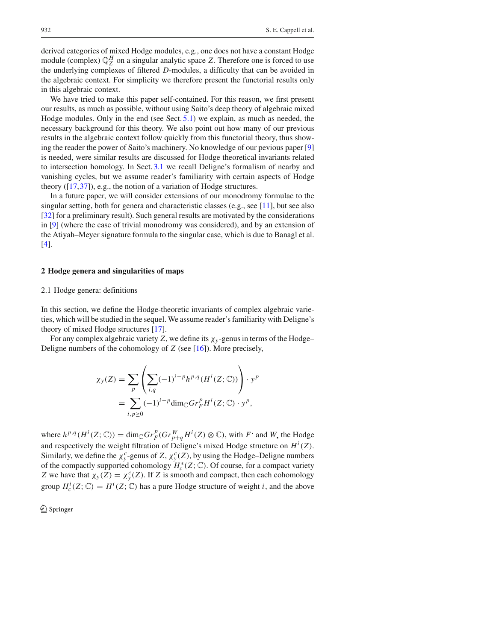derived categories of mixed Hodge modules, e.g., one does not have a constant Hodge module (complex)  $\mathbb{Q}_Z^H$  on a singular analytic space *Z*. Therefore one is forced to use the underlying complexes of filtered *D*-modules, a difficulty that can be avoided in the algebraic context. For simplicity we therefore present the functorial results only in this algebraic context.

We have tried to make this paper self-contained. For this reason, we first present our results, as much as possible, without using Saito's deep theory of algebraic mixed Hodge modules. Only in the end (see Sect. 5.1) we explain, as much as needed, the necessary background for this theory. We also point out how many of our previous results in the algebraic context follow quickly from this functorial theory, thus showing the reader the power of Saito's machinery. No knowledge of our pevious paper [9] is needed, were similar results are discussed for Hodge theoretical invariants related to intersection homology. In Sect. 3.1 we recall Deligne's formalism of nearby and vanishing cycles, but we assume reader's familiarity with certain aspects of Hodge theory ([17,37]), e.g., the notion of a variation of Hodge structures.

In a future paper, we will consider extensions of our monodromy formulae to the singular setting, both for genera and characteristic classes (e.g., see [11], but see also [32] for a preliminary result). Such general results are motivated by the considerations in [9] (where the case of trivial monodromy was considered), and by an extension of the Atiyah–Meyer signature formula to the singular case, which is due to Banagl et al. [4].

## **2 Hodge genera and singularities of maps**

#### 2.1 Hodge genera: definitions

In this section, we define the Hodge-theoretic invariants of complex algebraic varieties, which will be studied in the sequel. We assume reader's familiarity with Deligne's theory of mixed Hodge structures [17].

For any complex algebraic variety *Z*, we define its χ*<sup>y</sup>* -genus in terms of the Hodge– Deligne numbers of the cohomology of *Z* (see [16]). More precisely,

$$
\chi_{y}(Z) = \sum_{p} \left( \sum_{i,q} (-1)^{i-p} h^{p,q}(H^{i}(Z; \mathbb{C})) \right) \cdot y^{p}
$$

$$
= \sum_{i,p \ge 0} (-1)^{i-p} \dim_{\mathbb{C}} Gr_{F}^{p} H^{i}(Z; \mathbb{C}) \cdot y^{p},
$$

where  $h^{p,q}(H^i(Z; \mathbb{C})) = \dim_{\mathbb{C}} Gr_F^p(Gr_{p+q}^W H^i(Z) \otimes \mathbb{C})$ , with F and W the Hodge and respectively the weight filtration of Deligne's mixed Hodge structure on  $H^{i}(Z)$ . Similarly, we define the  $\chi^c_y$ -genus of *Z*,  $\chi^c_y(Z)$ , by using the Hodge–Deligne numbers of the compactly supported cohomology  $H_c^*(Z; \mathbb{C})$ . Of course, for a compact variety *Z* we have that  $\chi_y(Z) = \chi_y^c(Z)$ . If *Z* is smooth and compact, then each cohomology group  $H_c^i(Z; \mathbb{C}) = H^i(Z; \mathbb{C})$  has a pure Hodge structure of weight *i*, and the above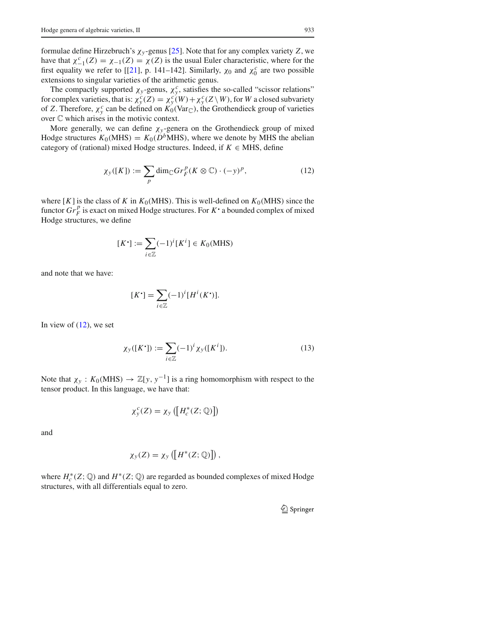formulae define Hirzebruch's χ*<sup>y</sup>* -genus [25]. Note that for any complex variety *Z*, we have that  $\chi^c_{-1}(Z) = \chi_{-1}(Z) = \chi(Z)$  is the usual Euler characteristic, where for the first equality we refer to [[21], p. 141–142]. Similarly,  $\chi_0$  and  $\chi_0^c$  are two possible extensions to singular varieties of the arithmetic genus.

The compactly supported  $\chi_y$ -genus,  $\chi_y^c$ , satisfies the so-called "scissor relations" for complex varieties, that is:  $\chi^c_y(Z) = \chi^c_y(W) + \chi^c_y(Z \setminus W)$ , for *W* a closed subvariety of *Z*. Therefore,  $\chi_y^c$  can be defined on  $K_0(\text{Var}_{\mathbb{C}})$ , the Grothendieck group of varieties over C which arises in the motivic context.

More generally, we can define  $\chi_y$ -genera on the Grothendieck group of mixed Hodge structures  $K_0(MHS) = K_0(D^bMHS)$ , where we denote by MHS the abelian category of (rational) mixed Hodge structures. Indeed, if  $K \in$  MHS, define

$$
\chi_{\mathcal{Y}}([K]) := \sum_{p} \dim_{\mathbb{C}} Gr_{F}^{p}(K \otimes \mathbb{C}) \cdot (-y)^{p}, \qquad (12)
$$

where  $[K]$  is the class of *K* in  $K_0(MHS)$ . This is well-defined on  $K_0(MHS)$  since the functor  $\overline{Gr}_F^p$  is exact on mixed Hodge structures. For  $K^*$  a bounded complex of mixed Hodge structures, we define

$$
[K^{\star}] := \sum_{i \in \mathbb{Z}} (-1)^{i} [K^{i}] \in K_0(\text{MHS})
$$

and note that we have:

$$
[K^{\bullet}] = \sum_{i \in \mathbb{Z}} (-1)^{i} [H^{i}(K^{\bullet})].
$$

In view of  $(12)$ , we set

$$
\chi_{y}([K^{\bullet}]) := \sum_{i \in \mathbb{Z}} (-1)^{i} \chi_{y}([K^{i}]). \tag{13}
$$

Note that  $\chi_y$ :  $K_0(MHS) \to \mathbb{Z}[y, y^{-1}]$  is a ring homomorphism with respect to the tensor product. In this language, we have that:

$$
\chi_{\mathcal{Y}}^c(Z) = \chi_{\mathcal{Y}}\left(\left[H_c^*(Z; \mathbb{Q})\right]\right)
$$

and

$$
\chi_{y}(Z)=\chi_{y}\left(\left[H^{*}(Z; \mathbb{Q})\right]\right),
$$

where  $H_c^*(Z; \mathbb{Q})$  and  $H^*(Z; \mathbb{Q})$  are regarded as bounded complexes of mixed Hodge structures, with all differentials equal to zero.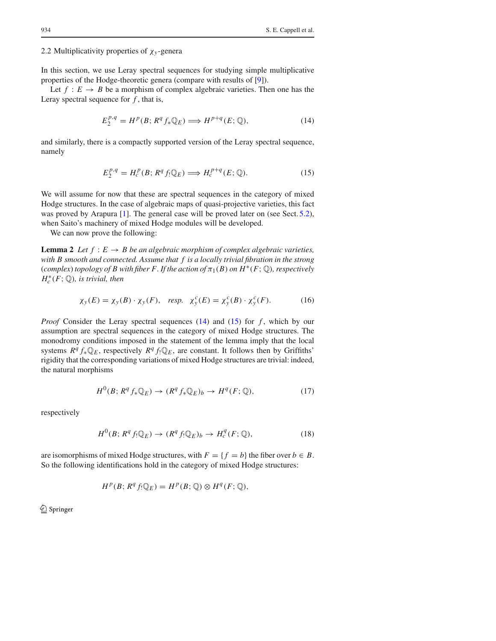### 2.2 Multiplicativity properties of χ*<sup>y</sup>* -genera

In this section, we use Leray spectral sequences for studying simple multiplicative properties of the Hodge-theoretic genera (compare with results of [9]).

Let  $f: E \to B$  be a morphism of complex algebraic varieties. Then one has the Leray spectral sequence for  $f$ , that is,

$$
E_2^{p,q} = H^p(B; R^q f_* \mathbb{Q}_E) \Longrightarrow H^{p+q}(E; \mathbb{Q}), \tag{14}
$$

and similarly, there is a compactly supported version of the Leray spectral sequence, namely

$$
E_2^{p,q} = H_c^p(B; R^q f_! \mathbb{Q}_E) \Longrightarrow H_c^{p+q}(E; \mathbb{Q}).
$$
\n(15)

We will assume for now that these are spectral sequences in the category of mixed Hodge structures. In the case of algebraic maps of quasi-projective varieties, this fact was proved by Arapura [1]. The general case will be proved later on (see Sect. 5.2), when Saito's machinery of mixed Hodge modules will be developed.

We can now prove the following:

**Lemma 2** *Let*  $f : E \to B$  *be an algebraic morphism of complex algebraic varieties, with B smooth and connected. Assume that f is a locally trivial fibration in the strong*  $(complex)$  *topology of B with fiber F. If the action of*  $\pi_1(B)$  *on*  $H^*(F; \mathbb{Q})$ *, respectively*  $H_c^*(F; \mathbb{Q})$ *, is trivial, then* 

$$
\chi_y(E) = \chi_y(B) \cdot \chi_y(F), \quad resp. \quad \chi_y^c(E) = \chi_y^c(B) \cdot \chi_y^c(F). \tag{16}
$$

*Proof* Consider the Leray spectral sequences (14) and (15) for *f*, which by our assumption are spectral sequences in the category of mixed Hodge structures. The monodromy conditions imposed in the statement of the lemma imply that the local systems  $R^q f_* \mathbb{Q}_E$ , respectively  $R^q f_* \mathbb{Q}_E$ , are constant. It follows then by Griffiths' rigidity that the corresponding variations of mixed Hodge structures are trivial: indeed, the natural morphisms

$$
H^{0}(B; R^{q} f_{*} \mathbb{Q}_{E}) \to (R^{q} f_{*} \mathbb{Q}_{E})_{b} \to H^{q}(F; \mathbb{Q}), \tag{17}
$$

respectively

$$
H^{0}(B; R^{q} f_{!} \mathbb{Q}_{E}) \to (R^{q} f_{!} \mathbb{Q}_{E})_{b} \to H^{q}_{c}(F; \mathbb{Q}), \qquad (18)
$$

are isomorphisms of mixed Hodge structures, with  $F = \{f = b\}$  the fiber over  $b \in B$ . So the following identifications hold in the category of mixed Hodge structures:

$$
H^p(B; R^q f_! \mathbb{Q}_E) = H^p(B; \mathbb{Q}) \otimes H^q(F; \mathbb{Q}),
$$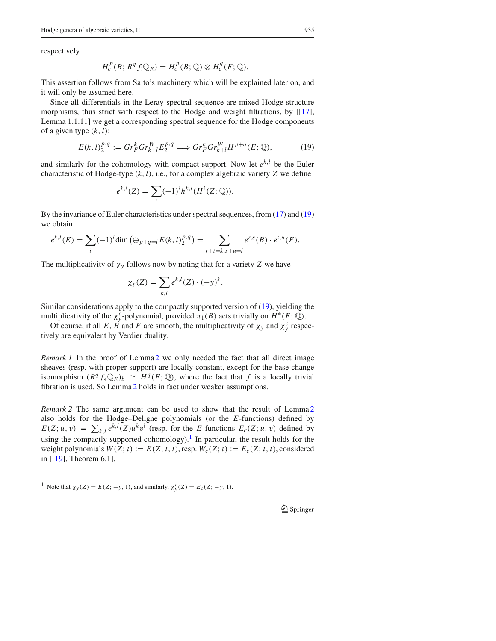respectively

$$
H_c^p(B; R^q f_! \mathbb{Q}_E) = H_c^p(B; \mathbb{Q}) \otimes H_c^q(F; \mathbb{Q}).
$$

This assertion follows from Saito's machinery which will be explained later on, and it will only be assumed here.

Since all differentials in the Leray spectral sequence are mixed Hodge structure morphisms, thus strict with respect to the Hodge and weight filtrations, by [[17], Lemma 1.1.11] we get a corresponding spectral sequence for the Hodge components of a given type  $(k, l)$ :

$$
E(k, l)_2^{p,q} := Gr_F^k Gr_{k+l}^W E_2^{p,q} \Longrightarrow Gr_F^k Gr_{k+l}^W H^{p+q}(E; \mathbb{Q}),
$$
 (19)

and similarly for the cohomology with compact support. Now let  $e^{k,l}$  be the Euler characteristic of Hodge-type *(k,l)*, i.e., for a complex algebraic variety *Z* we define

$$
e^{k,l}(Z) = \sum_{i} (-1)^{i} h^{k,l}(H^{i}(Z; \mathbb{Q})).
$$

By the invariance of Euler characteristics under spectral sequences, from (17) and (19) we obtain

$$
e^{k,l}(E) = \sum_{i} (-1)^{i} \dim \left( \bigoplus_{p+q=i} E(k,l)_{2}^{p,q} \right) = \sum_{r+t=k, s+u=l} e^{r,s}(B) \cdot e^{t,u}(F).
$$

The multiplicativity of  $\chi_y$  follows now by noting that for a variety *Z* we have

$$
\chi_{y}(Z) = \sum_{k,l} e^{k,l}(Z) \cdot (-y)^{k}.
$$

Similar considerations apply to the compactly supported version of (19), yielding the multiplicativity of the  $\chi^c_y$ -polynomial, provided  $\pi_1(B)$  acts trivially on  $H^*(F; \mathbb{Q})$ .

Of course, if all *E*, *B* and *F* are smooth, the multiplicativity of  $\chi_y$  and  $\chi_y^c$  respectively are equivalent by Verdier duality.

*Remark 1* In the proof of Lemma 2 we only needed the fact that all direct image sheaves (resp. with proper support) are locally constant, except for the base change isomorphism  $(R^q f_* \mathbb{Q}_E)_b \simeq H^q(F; \mathbb{Q})$ , where the fact that *f* is a locally trivial fibration is used. So Lemma 2 holds in fact under weaker assumptions.

*Remark 2* The same argument can be used to show that the result of Lemma 2 also holds for the Hodge–Deligne polynomials (or the *E*-functions) defined by  $E(Z; u, v) = \sum_{k,l} e^{k,l}(Z)u^k v^l$  (resp. for the E-functions  $E_c(Z; u, v)$  defined by using the compactly supported cohomology).<sup>1</sup> In particular, the result holds for the weight polynomials  $W(Z; t) := E(Z; t, t)$ , resp.  $W_c(Z; t) := E_c(Z; t, t)$ , considered in [[19], Theorem 6.1].

<sup>&</sup>lt;sup>1</sup> Note that  $\chi_y(Z) = E(Z; -y, 1)$ , and similarly,  $\chi_y^c(Z) = E_c(Z; -y, 1)$ .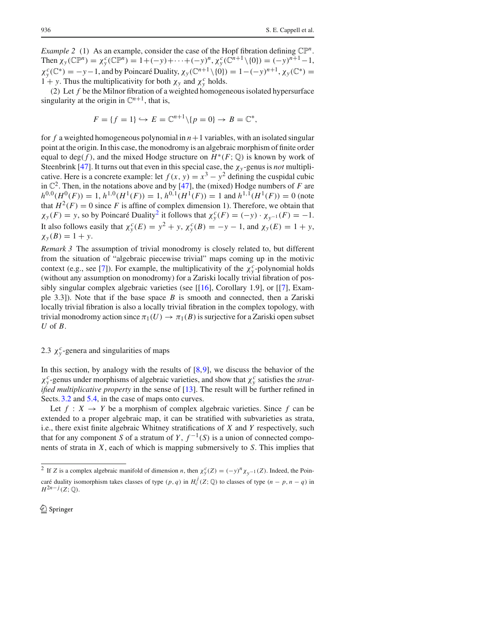*Example 2* (1) As an example, consider the case of the Hopf fibration defining  $\mathbb{CP}^n$ . Then  $\chi_y(\mathbb{CP}^n) = \chi_y^c(\mathbb{CP}^n) = 1 + (-y) + \cdots + (-y)^n, \chi_y^c(\mathbb{C}^{n+1} \setminus \{0\}) = (-y)^{n+1} - 1,$  $\chi_y^c(\mathbb{C}^*) = -y-1$ , and by Poincaré Duality,  $\chi_y(\mathbb{C}^{n+1} \setminus \{0\}) = 1 - (-y)^{n+1}$ ,  $\chi_y(\mathbb{C}^*) = 1$ 1 + *y*. Thus the multiplicativity for both  $\chi_y$  and  $\chi_y^c$  holds.

*(*2*)* Let *f* be the Milnor fibration of a weighted homogeneous isolated hypersurface singularity at the origin in  $\mathbb{C}^{n+1}$ , that is,

$$
F = \{ f = 1 \} \hookrightarrow E = \mathbb{C}^{n+1} \setminus \{ p = 0 \} \to B = \mathbb{C}^*,
$$

for  $f$  a weighted homogeneous polynomial in  $n+1$  variables, with an isolated singular point at the origin. In this case, the monodromy is an algebraic morphism of finite order equal to deg(f), and the mixed Hodge structure on  $H^*(F; \mathbb{Q})$  is known by work of Steenbrink [47]. It turns out that even in this special case, the  $\chi_y$ -genus is *not* multiplicative. Here is a concrete example: let  $f(x, y) = x^3 - y^2$  defining the cuspidal cubic in  $\mathbb{C}^2$ . Then, in the notations above and by [47], the (mixed) Hodge numbers of *F* are  $h^{0,0}(H^0(F)) = 1$ ,  $h^{1,0}(H^1(F)) = 1$ ,  $h^{0,1}(H^1(F)) = 1$  and  $h^{1,1}(H^1(F)) = 0$  (note that  $H^2(F) = 0$  since *F* is affine of complex dimension 1). Therefore, we obtain that  $\chi_y(F) = y$ , so by Poincaré Duality<sup>2</sup> it follows that  $\chi_y^c(F) = (-y) \cdot \chi_{y^{-1}}(F) = -1$ . It also follows easily that  $\chi^c_y(E) = y^2 + y$ ,  $\chi^c_y(B) = -y - 1$ , and  $\chi_y(E) = 1 + y$ ,  $\chi_{y}(B) = 1 + y$ .

*Remark 3* The assumption of trivial monodromy is closely related to, but different from the situation of "algebraic piecewise trivial" maps coming up in the motivic context (e.g., see [7]). For example, the multiplicativity of the  $\chi^c_y$ -polynomial holds (without any assumption on monodromy) for a Zariski locally trivial fibration of possibly singular complex algebraic varieties (see [[16], Corollary 1.9], or [[7], Example 3.3]). Note that if the base space *B* is smooth and connected, then a Zariski locally trivial fibration is also a locally trivial fibration in the complex topology, with trivial monodromy action since  $\pi_1(U) \to \pi_1(B)$  is surjective for a Zariski open subset *U* of *B*.

## 2.3  $\chi^c$ -genera and singularities of maps

In this section, by analogy with the results of  $[8,9]$ , we discuss the behavior of the  $\chi_y^c$ -genus under morphisms of algebraic varieties, and show that  $\chi_y^c$  satisfies the *stratified multiplicative property* in the sense of [13]. The result will be further refined in Sects. 3.2 and 5.4, in the case of maps onto curves.

Let  $f : X \to Y$  be a morphism of complex algebraic varieties. Since f can be extended to a proper algebraic map, it can be stratified with subvarieties as strata, i.e., there exist finite algebraic Whitney stratifications of *X* and *Y* respectively, such that for any component *S* of a stratum of *Y*,  $f^{-1}(S)$  is a union of connected components of strata in *X*, each of which is mapping submersively to *S*. This implies that

<sup>&</sup>lt;sup>2</sup> If *Z* is a complex algebraic manifold of dimension *n*, then  $\chi_y^c(Z) = (-y)^n \chi_{y^{-1}}(Z)$ . Indeed, the Poincaré duality isomorphism takes classes of type  $(p, q)$  in  $H_c^j(Z; \mathbb{Q})$  to classes of type  $(n - p, n - q)$  in  $H^{2n-j}(Z; \mathbb{Q})$ .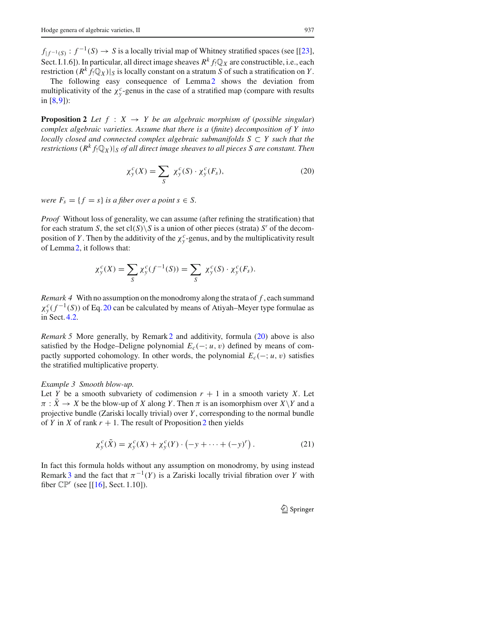$f_{|f^{-1}(S)}$ :  $f^{-1}(S) \to S$  is a locally trivial map of Whitney stratified spaces (see [[23], Sect. I.1.6]). In particular, all direct image sheaves  $R^k f$ :  $\mathbb{Q}_X$  are constructible, i.e., each restriction  $(R^k f_! \mathbb{Q}_X)|_S$  is locally constant on a stratum *S* of such a stratification on *Y*.

The following easy consequence of Lemma<sub>2</sub> shows the deviation from multiplicativity of the  $\chi^c$ -genus in the case of a stratified map (compare with results in [8,9]):

**Proposition 2** *Let*  $f : X \rightarrow Y$  *be an algebraic morphism of (possible singular) complex algebraic varieties. Assume that there is a* (*finite*) *decomposition of Y into locally closed and connected complex algebraic submanifolds S* ⊂ *Y such that the restrictions*  $(R^k f_! \mathbb{Q}_X)$ |*S of all direct image sheaves to all pieces S are constant. Then* 

$$
\chi_y^c(X) = \sum_S \chi_y^c(S) \cdot \chi_y^c(F_s), \tag{20}
$$

*were*  $F_s = \{f = s\}$  *is a fiber over a point s*  $\in S$ *.* 

*Proof* Without loss of generality, we can assume (after refining the stratification) that for each stratum *S*, the set  $cl(S) \ S$  is a union of other pieces (strata) *S'* of the decomposition of *Y*. Then by the additivity of the  $\chi^c$ <sub>y</sub> -genus, and by the multiplicativity result of Lemma 2, it follows that:

$$
\chi_y^c(X) = \sum_S \chi_y^c(f^{-1}(S)) = \sum_S \chi_y^c(S) \cdot \chi_y^c(F_S).
$$

*Remark 4* With no assumption on the monodromy along the strata of *f* , each summand  $\chi^c_y(f^{-1}(S))$  of Eq. 20 can be calculated by means of Atiyah–Meyer type formulae as in Sect. 4.2.

*Remark 5* More generally, by Remark 2 and additivity, formula (20) above is also satisfied by the Hodge–Deligne polynomial  $E_c(-; u, v)$  defined by means of compactly supported cohomology. In other words, the polynomial  $E_c(-; u, v)$  satisfies the stratified multiplicative property.

## *Example 3 Smooth blow-up.*

Let *Y* be a smooth subvariety of codimension  $r + 1$  in a smooth variety *X*. Let  $\pi$ :  $\tilde{X} \rightarrow X$  be the blow-up of *X* along *Y*. Then  $\pi$  is an isomorphism over  $X \ Y$  and a projective bundle (Zariski locally trivial) over *Y* , corresponding to the normal bundle of *Y* in *X* of rank  $r + 1$ . The result of Proposition 2 then yields

$$
\chi_y^c(\tilde{X}) = \chi_y^c(X) + \chi_y^c(Y) \cdot \left(-y + \dots + (-y)^r\right). \tag{21}
$$

In fact this formula holds without any assumption on monodromy, by using instead Remark 3 and the fact that  $\pi^{-1}(Y)$  is a Zariski locally trivial fibration over *Y* with fiber  $\mathbb{CP}^r$  (see [[16], Sect. 1.10]).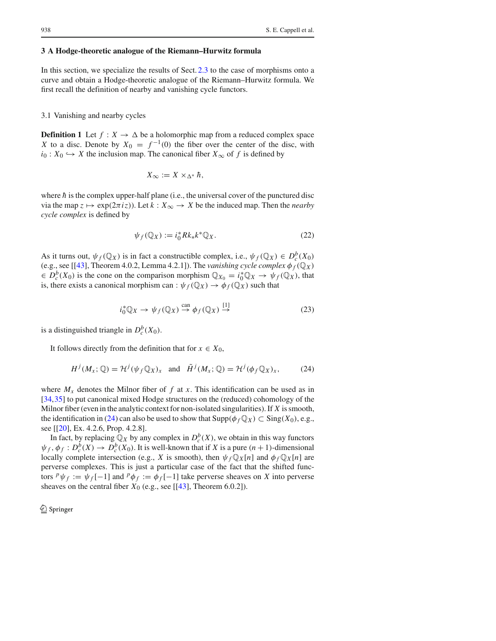#### **3 A Hodge-theoretic analogue of the Riemann–Hurwitz formula**

In this section, we specialize the results of Sect. 2.3 to the case of morphisms onto a curve and obtain a Hodge-theoretic analogue of the Riemann–Hurwitz formula. We first recall the definition of nearby and vanishing cycle functors.

## 3.1 Vanishing and nearby cycles

**Definition 1** Let  $f: X \to \Delta$  be a holomorphic map from a reduced complex space *X* to a disc. Denote by  $X_0 = f^{-1}(0)$  the fiber over the center of the disc, with *i*<sub>0</sub> : *X*<sub>0</sub>  $\leftrightarrow$  *X* the inclusion map. The canonical fiber *X*<sub>∞</sub> of *f* is defined by

$$
X_{\infty} := X \times_{\Delta^*} \hbar,
$$

where  $\hbar$  is the complex upper-half plane (i.e., the universal cover of the punctured disc via the map  $z \mapsto \exp(2\pi i z)$ ). Let  $k : X_\infty \to X$  be the induced map. Then the *nearby cycle complex* is defined by

$$
\psi_f(\mathbb{Q}_X) := i_0^* R k_* k^* \mathbb{Q}_X. \tag{22}
$$

As it turns out,  $\psi_f(\mathbb{Q}_X)$  is in fact a constructible complex, i.e.,  $\psi_f(\mathbb{Q}_X) \in D_c^b(X_0)$ (e.g., see [[43], Theorem 4.0.2, Lemma 4.2.1]). The *vanishing cycle complex*  $\phi_f(\mathbb{Q}_X)$  $\in D_c^b(X_0)$  is the cone on the comparison morphism  $\mathbb{Q}_{X_0} = i_0^* \mathbb{Q}_X \to \psi_f(\mathbb{Q}_X)$ , that is, there exists a canonical morphism can :  $\psi_f(\mathbb{Q}_X) \to \phi_f(\mathbb{Q}_X)$  such that

$$
i_0^* \mathbb{Q}_X \to \psi_f(\mathbb{Q}_X) \stackrel{\text{can}}{\to} \phi_f(\mathbb{Q}_X) \stackrel{[1]}{\to} \tag{23}
$$

is a distinguished triangle in  $D_c^b(X_0)$ .

It follows directly from the definition that for  $x \in X_0$ ,

$$
H^{j}(M_{x};\mathbb{Q}) = \mathcal{H}^{j}(\psi_{f}\mathbb{Q}_{X})_{x} \text{ and } \tilde{H}^{j}(M_{x};\mathbb{Q}) = \mathcal{H}^{j}(\phi_{f}\mathbb{Q}_{X})_{x}, \tag{24}
$$

where  $M_x$  denotes the Milnor fiber of  $f$  at  $x$ . This identification can be used as in [34,35] to put canonical mixed Hodge structures on the (reduced) cohomology of the Milnor fiber (even in the analytic context for non-isolated singularities). If *X* is smooth, the identification in (24) can also be used to show that  $\text{Supp}(\phi_f \mathbb{Q}_X) \subset \text{Sing}(X_0)$ , e.g., see [[20], Ex. 4.2.6, Prop. 4.2.8].

In fact, by replacing  $\mathbb{Q}_X$  by any complex in  $D_c^b(X)$ , we obtain in this way functors  $\psi_f, \phi_f: D_c^b(X) \to D_c^b(X_0)$ . It is well-known that if *X* is a pure  $(n + 1)$ -dimensional locally complete intersection (e.g., *X* is smooth), then  $\psi_f \mathbb{Q}_X[n]$  and  $\phi_f \mathbb{Q}_X[n]$  are perverse complexes. This is just a particular case of the fact that the shifted functors  $\psi_f := \psi_f[-1]$  and  $\psi_{f} := \phi_f[-1]$  take perverse sheaves on *X* into perverse sheaves on the central fiber  $X_0$  (e.g., see [[43], Theorem 6.0.2]).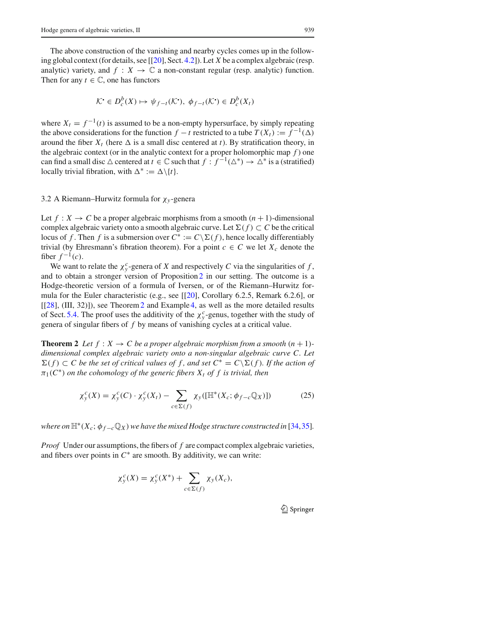The above construction of the vanishing and nearby cycles comes up in the following global context (for details, see [[20], Sect. 4.2]). Let *X* be a complex algebraic (resp. analytic) variety, and  $f: X \to \mathbb{C}$  a non-constant regular (resp. analytic) function. Then for any  $t \in \mathbb{C}$ , one has functors

$$
\mathcal{K}^{\bullet} \in D^b_c(X) \mapsto \psi_{f-t}(\mathcal{K}^{\bullet}), \ \phi_{f-t}(\mathcal{K}^{\bullet}) \in D^b_c(X_t)
$$

where  $X_t = f^{-1}(t)$  is assumed to be a non-empty hypersurface, by simply repeating the above considerations for the function *f* − *t* restricted to a tube  $T(X_t) := f^{-1}(\Delta)$ around the fiber  $X_t$  (here  $\Delta$  is a small disc centered at *t*). By stratification theory, in the algebraic context (or in the analytic context for a proper holomorphic map *f* ) one can find a small disc  $\triangle$  centered at  $t \in \mathbb{C}$  such that  $f : f^{-1}(\triangle^*) \to \triangle^*$  is a (stratified) locally trivial fibration, with  $\Delta^* := \Delta \setminus \{t\}.$ 

## 3.2 A Riemann–Hurwitz formula for χ*<sup>y</sup>* -genera

Let  $f: X \to C$  be a proper algebraic morphisms from a smooth  $(n + 1)$ -dimensional complex algebraic variety onto a smooth algebraic curve. Let  $\Sigma(f) \subset C$  be the critical locus of *f*. Then *f* is a submersion over  $C^* := C \setminus \Sigma(f)$ , hence locally differentiably trivial (by Ehresmann's fibration theorem). For a point  $c \in C$  we let  $X_c$  denote the fiber  $f^{-1}(c)$ .

We want to relate the  $\chi^c$ -genera of *X* and respectively *C* via the singularities of *f*, and to obtain a stronger version of Proposition  $2$  in our setting. The outcome is a Hodge-theoretic version of a formula of Iversen, or of the Riemann–Hurwitz formula for the Euler characteristic (e.g., see [[20], Corollary 6.2.5, Remark 6.2.6], or [[28], (III, 32)]), see Theorem2 and Example 4, as well as the more detailed results of Sect. 5.4. The proof uses the additivity of the  $\chi^c$ -genus, together with the study of genera of singular fibers of *f* by means of vanishing cycles at a critical value.

**Theorem 2** Let  $f: X \to C$  be a proper algebraic morphism from a smooth  $(n + 1)$ *dimensional complex algebraic variety onto a non-singular algebraic curve C. Let*  $\sum(f)$  ⊂ *C* be the set of critical values of f, and set  $C^* = C\setminus\Sigma(f)$ . If the action of  $\pi_1(C^*)$  *on the cohomology of the generic fibers*  $X_t$  *of f is trivial, then* 

$$
\chi_y^c(X) = \chi_y^c(C) \cdot \chi_y^c(X_t) - \sum_{c \in \Sigma(f)} \chi_y([\mathbb{H}^*(X_c; \phi_{f-c} \mathbb{Q}_X)]) \tag{25}
$$

*where on*  $\mathbb{H}^*(X_c; \phi_{f-c} \mathbb{Q}_X)$  *we have the mixed Hodge structure constructed in* [34,35]*.* 

*Proof* Under our assumptions, the fibers of *f* are compact complex algebraic varieties, and fibers over points in  $C^*$  are smooth. By additivity, we can write:

$$
\chi_y^c(X) = \chi_y^c(X^*) + \sum_{c \in \Sigma(f)} \chi_y(X_c),
$$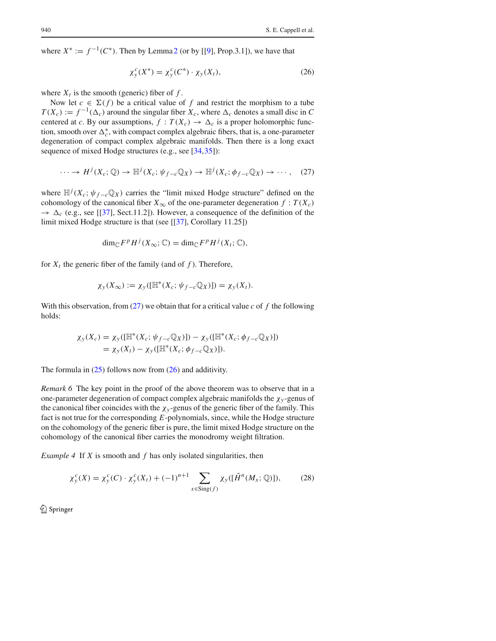where  $X^* := f^{-1}(C^*)$ . Then by Lemma 2 (or by [[9], Prop.3.1]), we have that

$$
\chi_y^c(X^*) = \chi_y^c(C^*) \cdot \chi_y(X_t),\tag{26}
$$

where  $X_t$  is the smooth (generic) fiber of  $f$ .

Now let  $c \in \Sigma(f)$  be a critical value of f and restrict the morphism to a tube  $T(X_c) := f^{-1}(\Delta_c)$  around the singular fiber  $X_c$ , where  $\Delta_c$  denotes a small disc in *C* centered at *c*. By our assumptions,  $f : T(X_c) \to \Delta_c$  is a proper holomorphic function, smooth over  $\Delta_c^*$ , with compact complex algebraic fibers, that is, a one-parameter degeneration of compact complex algebraic manifolds. Then there is a long exact sequence of mixed Hodge structures (e.g., see [34,35]):

$$
\cdots \to H^{j}(X_c; \mathbb{Q}) \to \mathbb{H}^{j}(X_c; \psi_{f-c}\mathbb{Q}_X) \to \mathbb{H}^{j}(X_c; \phi_{f-c}\mathbb{Q}_X) \to \cdots,
$$
 (27)

where  $\mathbb{H}^{j}(X_c; \psi_{f-c}\mathbb{Q}_X)$  carries the "limit mixed Hodge structure" defined on the cohomology of the canonical fiber  $X_{\infty}$  of the one-parameter degeneration  $f : T(X_c)$  $\rightarrow \Delta_c$  (e.g., see [[37], Sect.11.2]). However, a consequence of the definition of the limit mixed Hodge structure is that (see [[37], Corollary 11.25])

$$
\dim_{\mathbb{C}} F^p H^j(X_\infty; \mathbb{C}) = \dim_{\mathbb{C}} F^p H^j(X_t; \mathbb{C}),
$$

for  $X_t$  the generic fiber of the family (and of  $f$ ). Therefore,

$$
\chi_{y}(X_{\infty}) := \chi_{y}([\mathbb{H}^{*}(X_{c}; \psi_{f-c}\mathbb{Q}_{X})]) = \chi_{y}(X_{t}).
$$

With this observation, from  $(27)$  we obtain that for a critical value *c* of *f* the following holds:

$$
\chi_{y}(X_{c}) = \chi_{y}([\mathbb{H}^{*}(X_{c}; \psi_{f-c}\mathbb{Q}_{X})]) - \chi_{y}([\mathbb{H}^{*}(X_{c}; \phi_{f-c}\mathbb{Q}_{X})])
$$
  
=  $\chi_{y}(X_{t}) - \chi_{y}([\mathbb{H}^{*}(X_{c}; \phi_{f-c}\mathbb{Q}_{X})]).$ 

The formula in  $(25)$  follows now from  $(26)$  and additivity.

*Remark 6* The key point in the proof of the above theorem was to observe that in a one-parameter degeneration of compact complex algebraic manifolds the  $\chi_y$ -genus of the canonical fiber coincides with the  $\chi_y$ -genus of the generic fiber of the family. This fact is not true for the corresponding *E*-polynomials, since, while the Hodge structure on the cohomology of the generic fiber is pure, the limit mixed Hodge structure on the cohomology of the canonical fiber carries the monodromy weight filtration.

*Example 4* If *X* is smooth and *f* has only isolated singularities, then

$$
\chi_y^c(X) = \chi_y^c(C) \cdot \chi_y^c(X_t) + (-1)^{n+1} \sum_{x \in \text{Sing}(f)} \chi_y([\tilde{H}^n(M_x; \mathbb{Q})]),\tag{28}
$$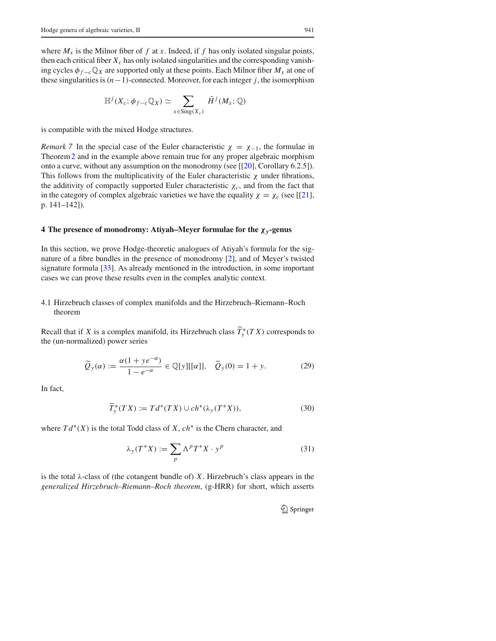where  $M_x$  is the Milnor fiber of f at x. Indeed, if f has only isolated singular points, then each critical fiber  $X_c$  has only isolated singularities and the corresponding vanishing cycles  $\phi_{f-c} \mathbb{Q}_X$  are supported only at these points. Each Milnor fiber  $M_x$  at one of these singularities is*(n*−1*)*-connected. Moreover, for each integer *j*, the isomorphism

$$
\mathbb{H}^{j}(X_c; \phi_{f-c}\mathbb{Q}_X) \simeq \sum_{x \in \text{Sing}(X_c)} \tilde{H}^{j}(M_x; \mathbb{Q})
$$

is compatible with the mixed Hodge structures.

*Remark* 7 In the special case of the Euler characteristic  $\chi = \chi_{-1}$ , the formulae in Theorem2 and in the example above remain true for any proper algebraic morphism onto a curve, without any assumption on the monodromy (see [[20], Corollary 6.2.5]). This follows from the multiplicativity of the Euler characteristic  $\chi$  under fibrations, the additivity of compactly supported Euler characteristic  $\chi_c$ , and from the fact that in the category of complex algebraic varieties we have the equality  $\chi = \chi_c$  (see [[21], p. 141–142]).

## **4 The presence of monodromy: Atiyah–Meyer formulae for the** χ*y***-genus**

In this section, we prove Hodge-theoretic analogues of Atiyah's formula for the signature of a fibre bundles in the presence of monodromy [2], and of Meyer's twisted signature formula [33]. As already mentioned in the introduction, in some important cases we can prove these results even in the complex analytic context.

## 4.1 Hirzebruch classes of complex manifolds and the Hirzebruch–Riemann–Roch theorem

Recall that if *X* is a complex manifold, its Hirzebruch class  $\overline{T}_{y}^{*}(TX)$  corresponds to the (un-normalized) power series

$$
\widetilde{Q}_y(\alpha) := \frac{\alpha(1 + ye^{-\alpha})}{1 - e^{-\alpha}} \in \mathbb{Q}[y][[\alpha]], \quad \widetilde{Q}_y(0) = 1 + y. \tag{29}
$$

In fact,

$$
\widetilde{T}_y^*(TX) := T d^*(TX) \cup ch^*(\lambda_y(T^*X)),\tag{30}
$$

where  $Td^*(X)$  is the total Todd class of *X*,  $ch^*$  is the Chern character, and

$$
\lambda_{y}(T^*X) := \sum_{p} \Lambda^p T^*X \cdot y^p \tag{31}
$$

is the total  $\lambda$ -class of (the cotangent bundle of) *X*. Hirzebruch's class appears in the *generalized Hirzebruch–Riemann–Roch theorem*, (g-HRR) for short, which asserts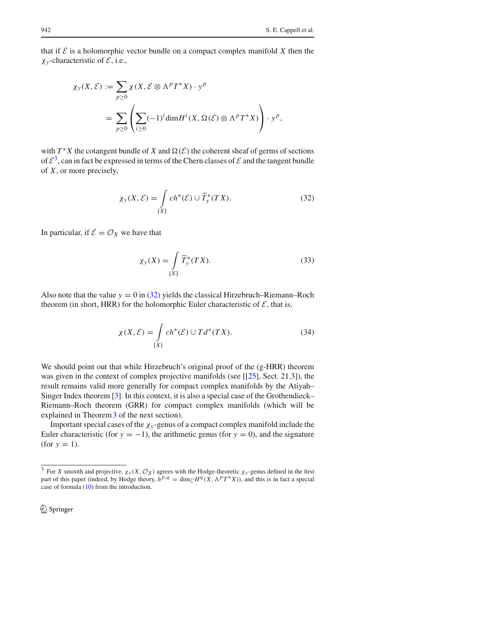that if  $\mathcal E$  is a holomorphic vector bundle on a compact complex manifold  $X$  then the χ*<sup>y</sup>* -characteristic of *E*, i.e.,

$$
\chi_{y}(X, \mathcal{E}) := \sum_{p \ge 0} \chi(X, \mathcal{E} \otimes \Lambda^p T^* X) \cdot y^p
$$
  
= 
$$
\sum_{p \ge 0} \left( \sum_{i \ge 0} (-1)^i \dim H^i(X, \Omega(\mathcal{E}) \otimes \Lambda^p T^* X) \right) \cdot y^p,
$$

with  $T^*X$  the cotangent bundle of *X* and  $\Omega(\mathcal{E})$  the coherent sheaf of germs of sections of  $\mathcal{E}^3$ , can in fact be expressed in terms of the Chern classes of  $\mathcal E$  and the tangent bundle of *X*, or more precisely,

$$
\chi_{\mathcal{Y}}(X,\mathcal{E}) = \int\limits_{[X]} ch^*(\mathcal{E}) \cup \widetilde{T}_{\mathcal{Y}}^*(TX). \tag{32}
$$

In particular, if  $\mathcal{E} = \mathcal{O}_X$  we have that

$$
\chi_{y}(X) = \int\limits_{[X]} \widetilde{T}_{y}^{*}(TX). \tag{33}
$$

Also note that the value  $y = 0$  in (32) yields the classical Hirzebruch–Riemann–Roch theorem (in short, HRR) for the holomorphic Euler characteristic of  $\mathcal{E}$ , that is,

$$
\chi(X,\mathcal{E}) = \int\limits_{[X]} ch^*(\mathcal{E}) \cup Td^*(TX). \tag{34}
$$

We should point out that while Hirzebruch's original proof of the (g-HRR) theorem was given in the context of complex projective manifolds (see [[25], Sect. 21.3]), the result remains valid more generally for compact complex manifolds by the Atiyah– Singer Index theorem [3]. In this context, it is also a special case of the Grothendieck– Riemann–Roch theorem (GRR) for compact complex manifolds (which will be explained in Theorem 3 of the next section).

Important special cases of the  $\chi_y$ -genus of a compact complex manifold include the Euler characteristic (for  $y = -1$ ), the arithmetic genus (for  $y = 0$ ), and the signature  $(for y = 1).$ 

<sup>2</sup> Springer

<sup>&</sup>lt;sup>3</sup> For *X* smooth and projective,  $\chi_y(X, \mathcal{O}_X)$  agrees with the Hodge-theoretic  $\chi_y$ -genus defined in the first part of this paper (indeed, by Hodge theory,  $h^{p,q} = \dim_{\mathbb{C}} H^q(X, \Lambda^p T^*X)$ ), and this is in fact a special case of formula (10) from the introduction.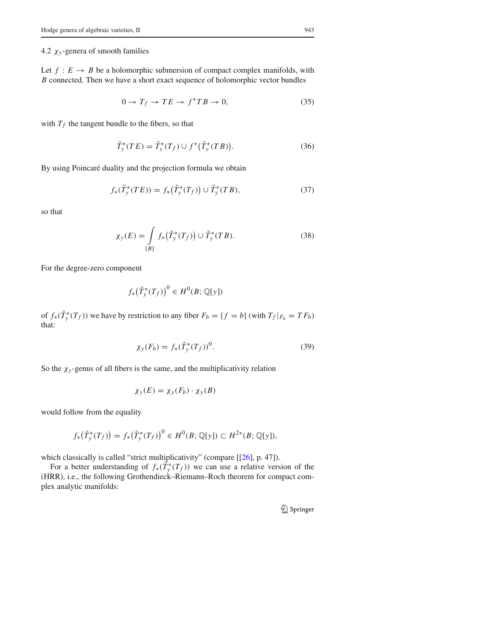## 4.2  $\chi$ <sup>y</sup>-genera of smooth families

Let  $f: E \to B$  be a holomorphic submersion of compact complex manifolds, with *B* connected. Then we have a short exact sequence of holomorphic vector bundles

$$
0 \to T_f \to TE \to f^*TB \to 0,\tag{35}
$$

with  $T_f$  the tangent bundle to the fibers, so that

$$
\tilde{T}_y^*(TE) = \tilde{T}_y^*(T_f) \cup f^*(\tilde{T}_y^*(TB)).\tag{36}
$$

By using Poincaré duality and the projection formula we obtain

$$
f_*(\tilde{T}_y^*(TE)) = f_*\big(\tilde{T}_y^*(T_f)\big) \cup \tilde{T}_y^*(TB),\tag{37}
$$

so that

$$
\chi_{y}(E) = \int_{[B]} f_{*}(\tilde{T}_{y}^{*}(T_{f})) \cup \tilde{T}_{y}^{*}(TB).
$$
 (38)

For the degree-zero component

$$
f_*\big(\tilde{T}_y^*(T_f)\big)^0 \in H^0(B; \mathbb{Q}[y])
$$

of  $f_*(T^*_y(T_f))$  we have by restriction to any fiber  $F_b = \{f = b\}$  (with  $T_f|_{F_b} = TF_b$ ) that:

$$
\chi_y(F_b) = f_*(\tilde{T}_y^*(T_f))^0.
$$
 (39)

So the  $\chi_y$ -genus of all fibers is the same, and the multiplicativity relation

$$
\chi_{y}(E) = \chi_{y}(F_b) \cdot \chi_{y}(B)
$$

would follow from the equality

$$
f_*\big(\tilde{T}_y^*(T_f)\big) = f_*\big(\tilde{T}_y^*(T_f)\big)^0 \in H^0(B; \mathbb{Q}[y]) \subset H^{2*}(B; \mathbb{Q}[y]),
$$

which classically is called "strict multiplicativity" (compare [[26], p. 47]).

For a better understanding of  $f_*(T^*_y(T_f))$  we can use a relative version of the (HRR), i.e., the following Grothendieck–Riemann–Roch theorem for compact complex analytic manifolds:

<sup>2</sup> Springer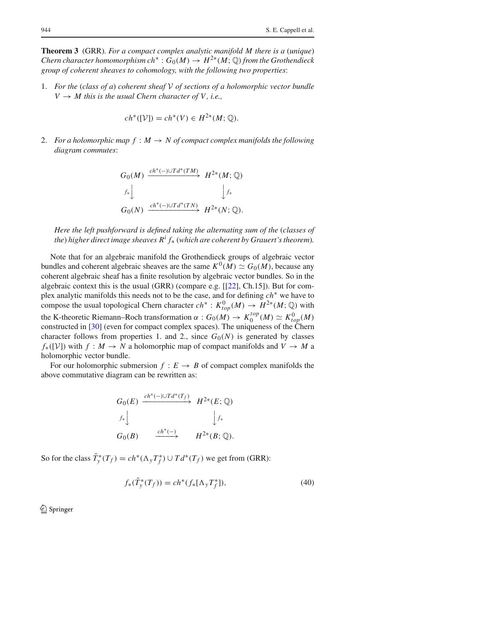**Theorem 3** (GRR)*. For a compact complex analytic manifold M there is a* (*unique*) *Chern character homomorphism ch*<sup>∗</sup> :  $G_0(M) \to H^{2*}(M; \mathbb{Q})$  *from the Grothendieck group of coherent sheaves to cohomology, with the following two properties*:

1. *For the* (*class of a*) *coherent sheaf V of sections of a holomorphic vector bundle*  $V \rightarrow M$  this is the usual Chern character of V, i.e.,

$$
ch^*([V]) = ch^*(V) \in H^{2*}(M; \mathbb{Q}).
$$

2. *For a holomorphic map*  $f : M \to N$  *of compact complex manifolds the following diagram commutes*:

$$
G_0(M) \xrightarrow{ch^*(-)\cup Td^*(TM)} H^{2*}(M; \mathbb{Q})
$$
  

$$
f_* \downarrow \qquad \qquad \downarrow f_*
$$
  

$$
G_0(N) \xrightarrow{ch^*(-)\cup Td^*(TN)} H^{2*}(N; \mathbb{Q}).
$$

*Here the left pushforward is defined taking the alternating sum of the* (*classes of the*) *higher direct image sheaves*  $R^i f_*$  (*which are coherent by Grauert's theorem*).

Note that for an algebraic manifold the Grothendieck groups of algebraic vector bundles and coherent algebraic sheaves are the same  $K^0(M) \simeq G_0(M)$ , because any coherent algebraic sheaf has a finite resolution by algebraic vector bundles. So in the algebraic context this is the usual (GRR) (compare e.g.  $[22]$ , Ch.15]). But for complex analytic manifolds this needs not to be the case, and for defining *ch*∗ we have to compose the usual topological Chern character  $ch^* : K^0_{top}(M) \to H^{2*}(M; \mathbb{Q})$  with the K-theoretic Riemann–Roch transformation  $\alpha$  :  $G_0(M) \to K_0^{top}(M) \simeq K_{top}^0(M)$ constructed in [30] (even for compact complex spaces). The uniqueness of the Chern character follows from properties 1. and 2., since  $G_0(N)$  is generated by classes  $f_*([V])$  with  $f: M \to N$  a holomorphic map of compact manifolds and  $V \to M$  a holomorphic vector bundle.

For our holomorphic submersion  $f : E \to B$  of compact complex manifolds the above commutative diagram can be rewritten as:

$$
G_0(E) \xrightarrow{ch^*(-)\cup Td^*(T_f)} H^{2*}(E; \mathbb{Q})
$$
  

$$
f_* \downarrow \qquad \qquad \downarrow f_*
$$
  

$$
G_0(B) \xrightarrow{ch^*(-)} H^{2*}(B; \mathbb{Q}).
$$

So for the class  $\tilde{T}_y^*(T_f) = ch^*(\Lambda_y T_f^*) \cup Td^*(T_f)$  we get from (GRR):

$$
f_*(\tilde{T}_y^*(T_f)) = ch^*(f_*[\Lambda_y T_f^*]),\tag{40}
$$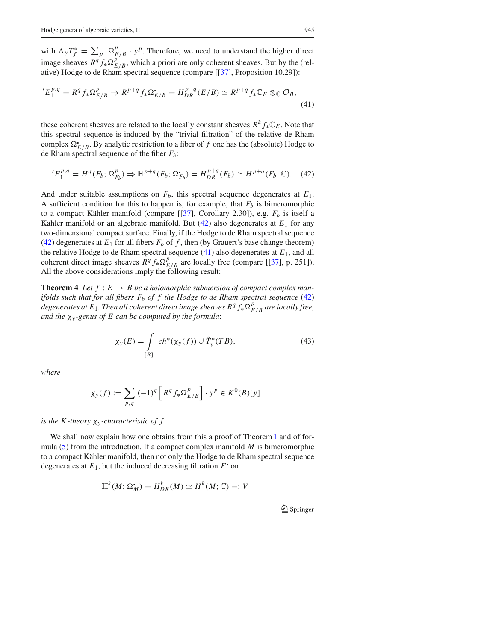with  $\Lambda_y T_f^* = \sum_p \Omega_{E/B}^p \cdot y^p$ . Therefore, we need to understand the higher direct image sheaves  $R^q f_* \Omega_{E/B}^{p^2}$ , which a priori are only coherent sheaves. But by the (relative) Hodge to de Rham spectral sequence (compare [[37], Proposition 10.29]):

$$
{}^{'}E_1^{p,q} = R^q f_* \Omega_{E/B}^p \Rightarrow R^{p+q} f_* \Omega_{E/B}^{\bullet} = H_{DR}^{p+q}(E/B) \simeq R^{p+q} f_* \mathbb{C}_E \otimes_{\mathbb{C}} \mathcal{O}_B,
$$
\n(41)

these coherent sheaves are related to the locally constant sheaves  $R^k f_* \mathbb{C}_E$ . Note that this spectral sequence is induced by the "trivial filtration" of the relative de Rham complex  $\Omega_{E/B}^{\bullet}$ . By analytic restriction to a fiber of *f* one has the (absolute) Hodge to de Rham spectral sequence of the fiber *Fb*:

$$
{}^{'}E_1^{p,q} = H^q(F_b; \Omega_{F_b}^p) \Rightarrow \mathbb{H}^{p+q}(F_b; \Omega_{F_b}^{\bullet}) = H_{DR}^{p+q}(F_b) \simeq H^{p+q}(F_b; \mathbb{C}). \tag{42}
$$

And under suitable assumptions on  $F_b$ , this spectral sequence degenerates at  $E_1$ . A sufficient condition for this to happen is, for example, that  $F_b$  is bimeromorphic to a compact Kähler manifold (compare [[37], Corollary 2.30]), e.g. *Fb* is itself a Kähler manifold or an algebraic manifold. But  $(42)$  also degenerates at  $E_1$  for any two-dimensional compact surface. Finally, if the Hodge to de Rham spectral sequence (42) degenerates at  $E_1$  for all fibers  $F_b$  of f, then (by Grauert's base change theorem) the relative Hodge to de Rham spectral sequence (41) also degenerates at *E*1, and all coherent direct image sheaves  $R^q f_* \Omega^p_{E/B}$  are locally free (compare [[37], p. 251]). All the above considerations imply the following result:

**Theorem 4** Let  $f : E \to B$  be a holomorphic submersion of compact complex man*ifolds such that for all fibers Fb of f the Hodge to de Rham spectral sequence* (42)  $\sigma$  *degenerates at E*<sub>1</sub>. Then all coherent direct image sheaves R<sup>q</sup>  $f_* \Omega_{E/B}^p$  are locally free, *and the* χ*<sup>y</sup> -genus of E can be computed by the formula*:

$$
\chi_{\mathcal{Y}}(E) = \int\limits_{[B]} ch^*(\chi_{\mathcal{Y}}(f)) \cup \tilde{T}_{\mathcal{Y}}^*(TB),\tag{43}
$$

*where*

$$
\chi_y(f) := \sum_{p,q} \left(-1\right)^q \left[ R^q f_* \Omega^p_{E/B} \right] \cdot y^p \in K^0(B)[y]
$$

### *is the K-theory*  $\chi_{y}$ -*characteristic of f.*

We shall now explain how one obtains from this a proof of Theorem 1 and of formula (5) from the introduction. If a compact complex manifold *M* is bimeromorphic to a compact Kähler manifold, then not only the Hodge to de Rham spectral sequence degenerates at  $E_1$ , but the induced decreasing filtration  $F$  on

$$
\mathbb{H}^k(M; \Omega_M^{\bullet}) = H^k_{DR}(M) \simeq H^k(M; \mathbb{C}) =: V
$$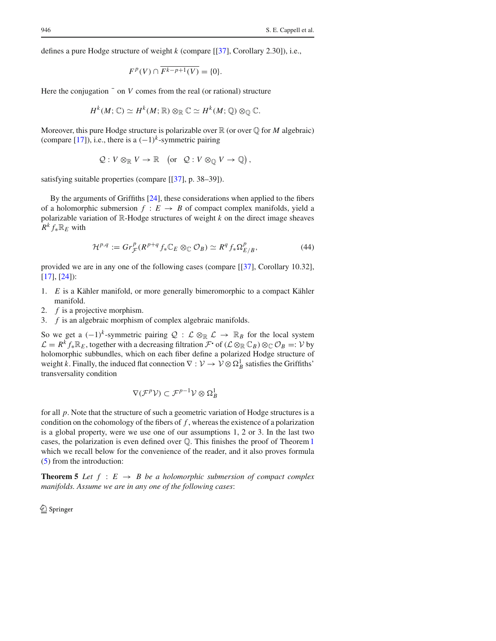defines a pure Hodge structure of weight *k* (compare [[37], Corollary 2.30]), i.e.,

$$
F^p(V) \cap \overline{F^{k-p+1}(V)} = \{0\}.
$$

Here the conjugation  $\bar{ }$  on *V* comes from the real (or rational) structure

$$
H^k(M; \mathbb{C}) \simeq H^k(M; \mathbb{R}) \otimes_{\mathbb{R}} \mathbb{C} \simeq H^k(M; \mathbb{Q}) \otimes_{\mathbb{Q}} \mathbb{C}.
$$

Moreover, this pure Hodge structure is polarizable over  $\mathbb R$  (or over  $\mathbb Q$  for *M* algebraic) (compare [17]), i.e., there is a  $(-1)^k$ -symmetric pairing

$$
Q: V \otimes_{\mathbb{R}} V \to \mathbb{R} \quad \left( \text{or} \quad Q: V \otimes_{\mathbb{Q}} V \to \mathbb{Q} \right),
$$

satisfying suitable properties (compare [[37], p. 38–39]).

By the arguments of Griffiths [24], these considerations when applied to the fibers of a holomorphic submersion  $f : E \to B$  of compact complex manifolds, yield a polarizable variation of R-Hodge structures of weight *k* on the direct image sheaves  $R^k f_* \mathbb{R}_E$  with

$$
\mathcal{H}^{p,q} := Gr_{\mathcal{F}}^p(R^{p+q} f_* \mathbb{C}_E \otimes_{\mathbb{C}} \mathcal{O}_B) \simeq R^q f_* \Omega_{E/B}^p,\tag{44}
$$

provided we are in any one of the following cases (compare [[37], Corollary 10.32], [17], [24]):

- 1. *E* is a Kähler manifold, or more generally bimeromorphic to a compact Kähler manifold.
- 2. *f* is a projective morphism.
- 3. *f* is an algebraic morphism of complex algebraic manifolds.

So we get a  $(-1)^k$ -symmetric pairing  $Q : \mathcal{L} \otimes_{\mathbb{R}} \mathcal{L} \to \mathbb{R}_B$  for the local system  $\mathcal{L} = R^k f_* \mathbb{R}_E$ , together with a decreasing filtration  $\mathcal{F}$  of  $(\mathcal{L} \otimes_{\mathbb{R}} \mathbb{C}_B) \otimes_{\mathbb{C}} \mathcal{O}_B =: V$  by holomorphic subbundles, which on each fiber define a polarized Hodge structure of weight *k*. Finally, the induced flat connection  $\nabla : \mathcal{V} \to \mathcal{V} \otimes \Omega_B^1$  satisfies the Griffiths' transversality condition

$$
\nabla(\mathcal{F}^p\mathcal{V})\subset\mathcal{F}^{p-1}\mathcal{V}\otimes\Omega^1_B
$$

for all *p*. Note that the structure of such a geometric variation of Hodge structures is a condition on the cohomology of the fibers of *f* , whereas the existence of a polarization is a global property, were we use one of our assumptions 1, 2 or 3. In the last two cases, the polarization is even defined over  $\mathbb Q$ . This finishes the proof of Theorem 1 which we recall below for the convenience of the reader, and it also proves formula (5) from the introduction:

**Theorem 5** *Let*  $f : E \rightarrow B$  *be a holomorphic submersion of compact complex manifolds. Assume we are in any one of the following cases*: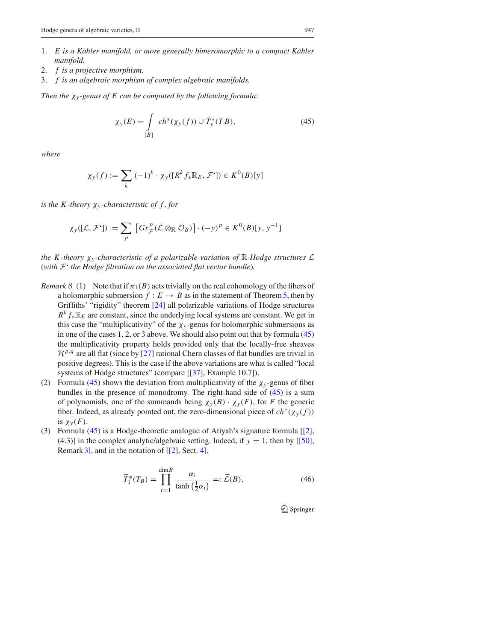- 1. *E is a Kähler manifold, or more generally bimeromorphic to a compact Kähler manifold.*
- 2. *f is a projective morphism.*
- 3. *f is an algebraic morphism of complex algebraic manifolds.*

*Then the* χ*<sup>y</sup> -genus of E can be computed by the following formula*:

$$
\chi_{\mathcal{Y}}(E) = \int\limits_{[B]} ch^*(\chi_{\mathcal{Y}}(f)) \cup \tilde{T}_{\mathcal{Y}}^*(TB),\tag{45}
$$

*where*

$$
\chi_y(f):=\sum_k\;(-1)^k\cdot\chi_y([R^kf_*\mathbb{R}_E,\mathcal{F}^\bullet])\in K^0(B)[y]
$$

*is the K-theory*  $\chi_{y}$ -characteristic of f, for

$$
\chi_{y}([\mathcal{L}, \mathcal{F}^{\bullet}]) := \sum_{p} \left[ Gr_{\mathcal{F}}^{p}(\mathcal{L} \otimes_{\mathbb{R}} \mathcal{O}_{B}) \right] \cdot (-y)^{p} \in K^{0}(B)[y, y^{-1}]
$$

*the K-theory*  $\chi$ <sup>*y*</sup>-*characteristic of a polarizable variation of*  $\mathbb{R}$ *-Hodge structures*  $\mathcal{L}$ (*with <sup>F</sup>*! *the Hodge filtration on the associated flat vector bundle*)*.*

- *Remark 8* (1) Note that if  $\pi_1(B)$  acts trivially on the real cohomology of the fibers of a holomorphic submersion  $f : E \to B$  as in the statement of Theorem 5, then by Griffiths' "rigidity" theorem [24] all polarizable variations of Hodge structures  $R^k f_* \mathbb{R}_E$  are constant, since the underlying local systems are constant. We get in this case the "multiplicativity" of the  $\chi_y$ -genus for holomorphic submersions as in one of the cases 1, 2, or 3 above. We should also point out that by formula (45) the multiplicativity property holds provided only that the locally-free sheaves  $\mathcal{H}^{p,q}$  are all flat (since by [27] rational Chern classes of flat bundles are trivial in positive degrees). This is the case if the above variations are what is called "local systems of Hodge structures" (compare [[37], Example 10.7]).
- (2) Formula (45) shows the deviation from multiplicativity of the  $\chi_y$ -genus of fiber bundles in the presence of monodromy. The right-hand side of (45) is a sum of polynomials, one of the summands being  $\chi_y(B) \cdot \chi_y(F)$ , for *F* the generic fiber. Indeed, as already pointed out, the zero-dimensional piece of  $ch^*(\chi_y(f))$ is  $\chi_{\nu}(F)$ .
- (3) Formula (45) is a Hodge-theoretic analogue of Atiyah's signature formula [[2], (4.3)] in the complex analytic/algebraic setting. Indeed, if  $y = 1$ , then by [[50], Remark 3, and in the notation of  $[[2]$ , Sect. 4,

$$
\widetilde{T}_1^*(T_B) = \prod_{i=1}^{\dim B} \frac{\alpha_i}{\tanh\left(\frac{1}{2}\alpha_i\right)} =: \widetilde{\mathcal{L}}(B),\tag{46}
$$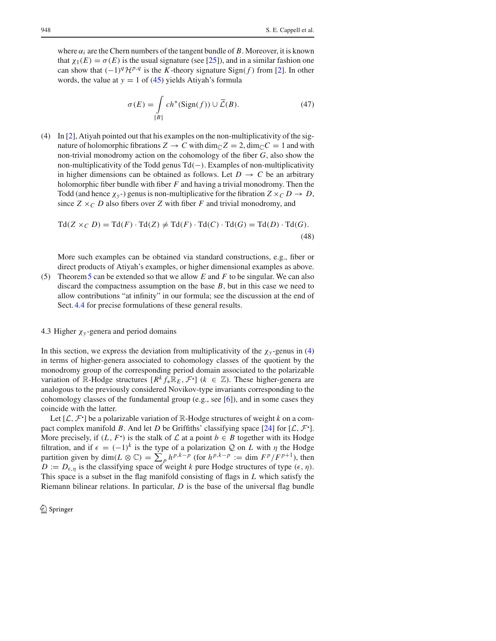where  $\alpha_i$  are the Chern numbers of the tangent bundle of *B*. Moreover, it is known that  $\chi_1(E) = \sigma(E)$  is the usual signature (see [25]), and in a similar fashion one can show that  $(-1)^q$ *H*<sup>*p*,*q*</sup> is the *K*-theory signature Sign(*f*) from [2]. In other words, the value at  $y = 1$  of (45) yields Atiyah's formula

$$
\sigma(E) = \int_{[B]} ch^*(Sign(f)) \cup \widetilde{\mathcal{L}}(B). \tag{47}
$$

(4) In [2], Atiyah pointed out that his examples on the non-multiplicativity of the signature of holomorphic fibrations  $Z \to C$  with  $\dim_{\mathbb{C}} Z = 2$ ,  $\dim_{\mathbb{C}} C = 1$  and with non-trivial monodromy action on the cohomology of the fiber *G*, also show the non-multiplicativity of the Todd genus Td*(*−*)*. Examples of non-multiplicativity in higher dimensions can be obtained as follows. Let  $D \to C$  be an arbitrary holomorphic fiber bundle with fiber *F* and having a trivial monodromy. Then the Todd (and hence  $\chi_{y}$ -) genus is non-multiplicative for the fibration  $Z \times_C D \to D$ , since  $Z \times_C D$  also fibers over *Z* with fiber *F* and trivial monodromy, and

$$
Td(Z \times_C D) = Td(F) \cdot Td(Z) \neq Td(F) \cdot Td(C) \cdot Td(G) = Td(D) \cdot Td(G).
$$
\n(48)

More such examples can be obtained via standard constructions, e.g., fiber or direct products of Atiyah's examples, or higher dimensional examples as above.

(5) Theorem5 can be extended so that we allow *E* and *F* to be singular. We can also discard the compactness assumption on the base *B*, but in this case we need to allow contributions "at infinity" in our formula; see the discussion at the end of Sect. 4.4 for precise formulations of these general results.

#### 4.3 Higher  $\chi$ <sub>v</sub>-genera and period domains

In this section, we express the deviation from multiplicativity of the  $\chi_y$ -genus in (4) in terms of higher-genera associated to cohomology classes of the quotient by the monodromy group of the corresponding period domain associated to the polarizable variation of R-Hodge structures  $[R^k f_* \mathbb{R}_E, \mathcal{F}^{\bullet}]$  ( $k \in \mathbb{Z}$ ). These higher-genera are analogous to the previously considered Novikov-type invariants corresponding to the cohomology classes of the fundamental group (e.g., see [6]), and in some cases they coincide with the latter.

Let  $[L, \mathcal{F}]$  be a polarizable variation of  $\mathbb{R}$ -Hodge structures of weight *k* on a compact complex manifold *B*. And let *D* be Griffiths' classifying space [24] for  $[L, \mathcal{F}]$ . More precisely, if  $(L, F)$  is the stalk of  $\mathcal L$  at a point  $b \in B$  together with its Hodge filtration, and if  $\epsilon = (-1)^k$  is the type of a polarization Q on L with  $\eta$  the Hodge partition given by  $\dim(L \otimes \mathbb{C}) = \sum_{p} h^{p,k-p}$  (for  $h^{p,k-p} := \dim F^p / F^{p+1}$ ), then  $D := D_{\epsilon,\eta}$  is the classifying space of weight *k* pure Hodge structures of type  $(\epsilon,\eta)$ . This space is a subset in the flag manifold consisting of flags in *L* which satisfy the Riemann bilinear relations. In particular, *D* is the base of the universal flag bundle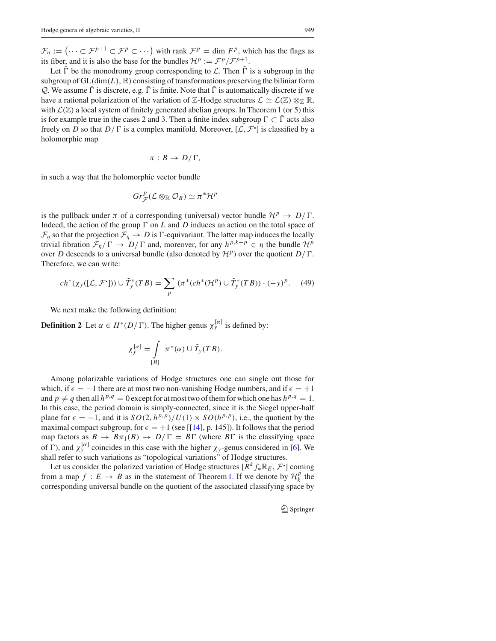$\mathcal{F}_{\eta} := \left( \cdots \subset \mathcal{F}^{p+1} \subset \mathcal{F}^p \subset \cdots \right)$  with rank  $\mathcal{F}^p = \dim F^p$ , which has the flags as its fiber, and it is also the base for the bundles  $\mathcal{H}^p := \mathcal{F}^p / \mathcal{F}^{p+1}$ .

Let  $\bar{\Gamma}$  be the monodromy group corresponding to  $\mathcal{L}$ . Then  $\bar{\Gamma}$  is a subgroup in the subgroup of  $GL(\dim(L), \mathbb{R})$  consisting of transformations preserving the biliniar form *Q*. We assume  $\overline{\Gamma}$  is discrete, e.g.  $\overline{\Gamma}$  is finite. Note that  $\overline{\Gamma}$  is automatically discrete if we have a rational polarization of the variation of  $\mathbb{Z}$ -Hodge structures  $\mathcal{L} \simeq \mathcal{L}(\mathbb{Z}) \otimes_{\mathbb{Z}} \mathbb{R}$ , with  $\mathcal{L}(\mathbb{Z})$  a local system of finitely generated abelian groups. In Theorem 1 (or 5) this is for example true in the cases 2 and 3. Then a finite index subgroup  $\Gamma \subset \overline{\Gamma}$  acts also freely on *D* so that  $D/\Gamma$  is a complex manifold. Moreover,  $[\mathcal{L}, \mathcal{F}^{\bullet}]$  is classified by a holomorphic map

$$
\pi:B\to D/\Gamma,
$$

in such a way that the holomorphic vector bundle

$$
Gr_{\mathcal{F}}^p(\mathcal{L}\otimes_{\mathbb{R}}\mathcal{O}_B)\simeq \pi^*\mathcal{H}^p
$$

is the pullback under  $\pi$  of a corresponding (universal) vector bundle  $\mathcal{H}^p \to D/\Gamma$ . Indeed, the action of the group  $\Gamma$  on  $L$  and  $D$  induces an action on the total space of  $\mathcal{F}_{\eta}$  so that the projection  $\mathcal{F}_{\eta} \to D$  is  $\Gamma$ -equivariant. The latter map induces the locally trivial fibration  $\mathcal{F}_{\eta}/\Gamma \to D/\Gamma$  and, moreover, for any  $h^{p,k-p} \in \eta$  the bundle  $\mathcal{H}^p$ over *D* descends to a universal bundle (also denoted by  $\mathcal{H}^p$ ) over the quotient  $D/\Gamma$ . Therefore, we can write:

$$
ch^*(\chi_y([\mathcal{L}, \mathcal{F}^{\bullet}])) \cup \tilde{T}_y^*(TB) = \sum_p (\pi^*(ch^*(\mathcal{H}^p) \cup \tilde{T}_y^*(TB)) \cdot (-y)^p. \tag{49}
$$

We next make the following definition:

**Definition 2** Let  $\alpha \in H^*(D/\Gamma)$ . The higher genus  $\chi_y^{[\alpha]}$  is defined by:

$$
\chi_{y}^{[\alpha]} = \int\limits_{[B]} \pi^*(\alpha) \cup \tilde{T}_y(TB).
$$

Among polarizable variations of Hodge structures one can single out those for which, if  $\epsilon = -1$  there are at most two non-vanishing Hodge numbers, and if  $\epsilon = +1$ and  $p \neq q$  then all  $h^{p,q} = 0$  except for at most two of them for which one has  $h^{p,q} = 1$ . In this case, the period domain is simply-connected, since it is the Siegel upper-half plane for  $\epsilon = -1$ , and it is  $SO(2, h^{p,p})/U(1) \times SO(h^{p,p})$ , i.e., the quotient by the maximal compact subgroup, for  $\epsilon = +1$  (see [[14], p. 145]). It follows that the period map factors as  $B \to B\pi_1(B) \to D/\Gamma = B\Gamma$  (where  $B\Gamma$  is the classifying space of  $\Gamma$ ), and  $\chi_y^{[\alpha]}$  coincides in this case with the higher  $\chi_y$ -genus considered in [6]. We shall refer to such variations as "topological variations" of Hodge structures.

Let us consider the polarized variation of Hodge structures  $[R^k f_* \mathbb{R}_E, \mathcal{F}^{\bullet}]$  coming from a map  $f : E \to B$  as in the statement of Theorem 1. If we denote by  $\mathcal{H}^p_k$  the corresponding universal bundle on the quotient of the associated classifying space by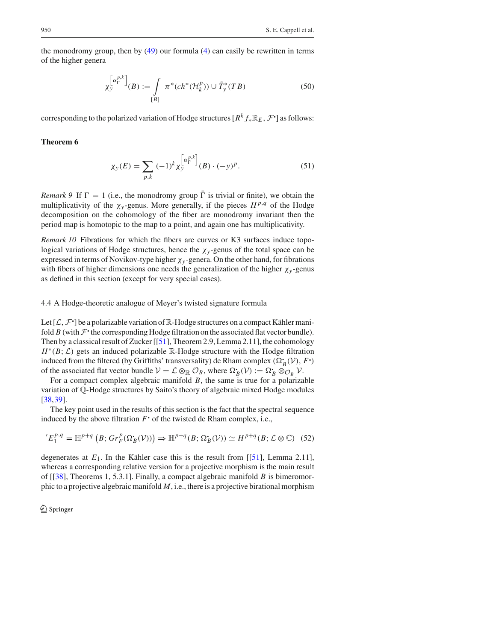the monodromy group, then by (49) our formula (4) can easily be rewritten in terms of the higher genera

$$
\chi_y^{\left[\alpha_{\Gamma}^{p,k}\right]}(B) := \int\limits_{[B]} \pi^*(ch^*(\mathcal{H}_k^p)) \cup \tilde{T}_y^*(TB) \tag{50}
$$

corresponding to the polarized variation of Hodge structures [ $R^k f_* \mathbb{R}_E$ ,  $\mathcal{F}^{\bullet}$ ] as follows:

## **Theorem 6**

$$
\chi_{y}(E) = \sum_{p,k} (-1)^{k} \chi_{y}^{\left[\alpha_{\Gamma}^{p,k}\right]}(B) \cdot (-y)^{p}.
$$
 (51)

*Remark* 9 If  $\Gamma = 1$  (i.e., the monodromy group  $\overline{\Gamma}$  is trivial or finite), we obtain the multiplicativity of the  $\chi_{y}$ -genus. More generally, if the pieces  $H^{p,q}$  of the Hodge decomposition on the cohomology of the fiber are monodromy invariant then the period map is homotopic to the map to a point, and again one has multiplicativity.

*Remark 10* Fibrations for which the fibers are curves or K3 surfaces induce topological variations of Hodge structures, hence the  $\chi_y$ -genus of the total space can be expressed in terms of Novikov-type higher χ*<sup>y</sup>* -genera. On the other hand, for fibrations with fibers of higher dimensions one needs the generalization of the higher  $\chi_y$ -genus as defined in this section (except for very special cases).

## 4.4 A Hodge-theoretic analogue of Meyer's twisted signature formula

Let  $[\mathcal{L}, \mathcal{F}]$  be a polarizable variation of  $\mathbb{R}$ -Hodge structures on a compact Kähler manifold  $B$  (with  $\mathcal{F}$ <sup>-</sup> the corresponding Hodge filtration on the associated flat vector bundle). Then by a classical result of Zucker [[51], Theorem 2.9, Lemma 2.11], the cohomology  $H^*(B; \mathcal{L})$  gets an induced polarizable R-Hodge structure with the Hodge filtration induced from the filtered (by Griffiths' transversality) de Rham complex  $(\Omega_B^{\bullet}(\mathcal{V}), F^{\bullet})$ of the associated flat vector bundle  $V = \mathcal{L} \otimes_{\mathbb{R}} \mathcal{O}_B$ , where  $\Omega_B(\mathcal{V}) := \Omega_B \otimes_{\mathcal{O}_B} \mathcal{V}$ .

For a compact complex algebraic manifold *B*, the same is true for a polarizable variation of Q-Hodge structures by Saito's theory of algebraic mixed Hodge modules [38,39].

The key point used in the results of this section is the fact that the spectral sequence induced by the above filtration  $F$ <sup> $\cdot$ </sup> of the twisted de Rham complex, i.e.,

$$
{}^{'}E_1^{p,q} = \mathbb{H}^{p+q} \left( B; Gr_F^p(\Omega_B^{\bullet}(\mathcal{V})) \right) \Rightarrow \mathbb{H}^{p+q}(B; \Omega_B^{\bullet}(\mathcal{V})) \simeq H^{p+q}(B; \mathcal{L} \otimes \mathbb{C}) \tag{52}
$$

degenerates at  $E_1$ . In the Kähler case this is the result from  $[[51]$ , Lemma 2.11], whereas a corresponding relative version for a projective morphism is the main result of [[38], Theorems 1, 5.3.1]. Finally, a compact algebraic manifold *B* is bimeromorphic to a projective algebraic manifold *M*, i.e., there is a projective birational morphism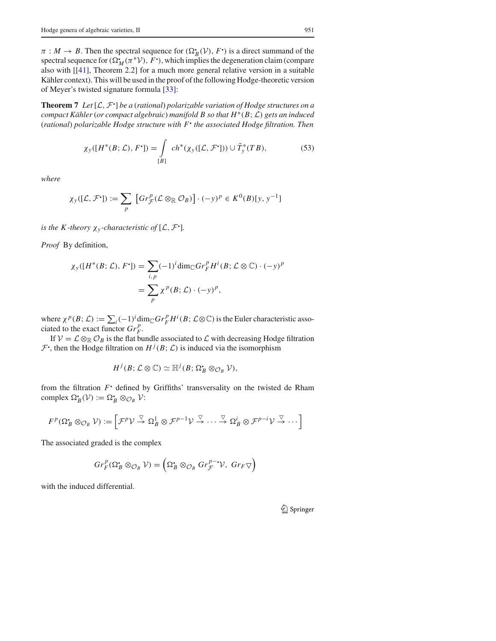$\pi : M \to B$ . Then the spectral sequence for  $(\Omega_B^{\bullet}(\mathcal{V}), F^{\bullet})$  is a direct summand of the spectral sequence for  $(\Omega_M^*(\pi^*\mathcal{V}), F^*)$ , which implies the degeneration claim (compare also with [[41], Theorem 2.2] for a much more general relative version in a suitable Kähler context). This will be used in the proof of the following Hodge-theoretic version of Meyer's twisted signature formula [33]:

**Theorem 7** *Let* [*L, <sup>F</sup>*! ] *be a* (*rational*) *polarizable variation of Hodge structures on a compact Kähler* (*or compact algebraic*) *manifold B so that H*∗*(B*;*L) gets an induced* (*rational*) *polarizable Hodge structure with F*! *the associated Hodge filtration. Then*

$$
\chi_{\mathcal{Y}}([H^*(B; \mathcal{L}), F^{\bullet}]) = \int_{[B]} ch^*(\chi_{\mathcal{Y}}([\mathcal{L}, \mathcal{F}^{\bullet}])) \cup \tilde{T}_{\mathcal{Y}}^*(TB), \tag{53}
$$

*where*

$$
\chi_{y}([\mathcal{L}, \mathcal{F}^{\bullet}]) := \sum_{p} \left[ Gr_{\mathcal{F}}^{p}(\mathcal{L} \otimes_{\mathbb{R}} \mathcal{O}_{B}) \right] \cdot (-y)^{p} \in K^{0}(B)[y, y^{-1}]
$$

*is the K-theory*  $\chi_{y}$ -*characteristic of* [ $\mathcal{L}, \mathcal{F}$ <sup>\*</sup>].

*Proof* By definition,

$$
\chi_{y}([H^*(B; \mathcal{L}), F^{\bullet}]) = \sum_{i, p} (-1)^i \dim_{\mathbb{C}} Gr_F^p H^i(B; \mathcal{L} \otimes \mathbb{C}) \cdot (-y)^p
$$

$$
= \sum_p \chi^p(B; \mathcal{L}) \cdot (-y)^p,
$$

where  $\chi^p(B; \mathcal{L}) := \sum_i (-1)^i \dim_{\mathbb{C}} Gr_F^p H^i(B; \mathcal{L} \otimes \mathbb{C})$  is the Euler characteristic associated to the exact functor  $Gr_F^p$ .

If  $V = L \otimes_{\mathbb{R}} C_B$  is the flat bundle associated to *L* with decreasing Hodge filtration  $\mathcal{F}$ <sup>1</sup>, then the Hodge filtration on  $H^{j}(B; \mathcal{L})$  is induced via the isomorphism

$$
H^j(B; \mathcal{L} \otimes \mathbb{C}) \simeq \mathbb{H}^j(B; \Omega_B^* \otimes_{\mathcal{O}_B} \mathcal{V}),
$$

from the filtration  $F$ <sup>2</sup> defined by Griffiths' transversality on the twisted de Rham complex  $\Omega_B^{\bullet}(\mathcal{V}) := \Omega_B^{\bullet} \otimes_{\mathcal{O}_B} \mathcal{V}$ :

$$
F^{p}(\Omega_{B}^{*} \otimes_{\mathcal{O}_{B}} \mathcal{V}) := \left[ \mathcal{F}^{p} \mathcal{V} \stackrel{\nabla}{\to} \Omega_{B}^{1} \otimes \mathcal{F}^{p-1} \mathcal{V} \stackrel{\nabla}{\to} \cdots \stackrel{\nabla}{\to} \Omega_{B}^{i} \otimes \mathcal{F}^{p-i} \mathcal{V} \stackrel{\nabla}{\to} \cdots \right]
$$

The associated graded is the complex

$$
Gr_F^p(\Omega_B^{\bullet} \otimes_{\mathcal{O}_B} \mathcal{V}) = \left(\Omega_B^{\bullet} \otimes_{\mathcal{O}_B} Gr_{\mathcal{F}}^{p-1} \mathcal{V}, \ Gr_F \nabla\right)
$$

with the induced differential.

<sup>2</sup> Springer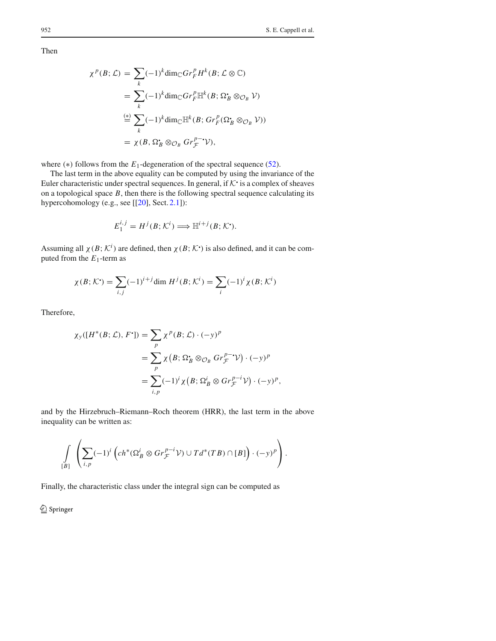Then

$$
\chi^{p}(B; \mathcal{L}) = \sum_{k} (-1)^{k} \dim_{\mathbb{C}} Gr_{F}^{p} H^{k}(B; \mathcal{L} \otimes \mathbb{C})
$$
  
= 
$$
\sum_{k} (-1)^{k} \dim_{\mathbb{C}} Gr_{F}^{p} \mathbb{H}^{k}(B; \Omega_{B}^{*} \otimes_{\mathcal{O}_{B}} \mathcal{V})
$$
  

$$
\stackrel{(*)}{=} \sum_{k} (-1)^{k} \dim_{\mathbb{C}} \mathbb{H}^{k}(B; Gr_{F}^{p}(\Omega_{B}^{*} \otimes_{\mathcal{O}_{B}} \mathcal{V}))
$$
  
= 
$$
\chi(B, \Omega_{B}^{*} \otimes_{\mathcal{O}_{B}} Gr_{F}^{p-*} \mathcal{V}),
$$

where  $(*)$  follows from the  $E_1$ -degeneration of the spectral sequence (52).

The last term in the above equality can be computed by using the invariance of the Euler characteristic under spectral sequences. In general, if  $K$  is a complex of sheaves on a topological space *B*, then there is the following spectral sequence calculating its hypercohomology (e.g., see [[20], Sect. 2.1]):

$$
E_1^{i,j} = H^j(B; \mathcal{K}^i) \Longrightarrow \mathbb{H}^{i+j}(B; \mathcal{K}^{\bullet}).
$$

Assuming all  $\chi(B; \mathcal{K}^i)$  are defined, then  $\chi(B; \mathcal{K}^i)$  is also defined, and it can be computed from the  $E_1$ -term as

$$
\chi(B; \mathcal{K}^{\bullet}) = \sum_{i,j} (-1)^{i+j} \dim H^j(B; \mathcal{K}^i) = \sum_i (-1)^i \chi(B; \mathcal{K}^i)
$$

Therefore,

$$
\chi_{\mathcal{Y}}([H^*(B; \mathcal{L}), F^{\bullet}]) = \sum_{p} \chi^{p}(B; \mathcal{L}) \cdot (-y)^p
$$
  
= 
$$
\sum_{p} \chi(B; \Omega_B^{\bullet} \otimes_{\mathcal{O}_B} Gr_{\mathcal{F}}^{p-\bullet} \mathcal{V}) \cdot (-y)^p
$$
  
= 
$$
\sum_{i, p} (-1)^i \chi(B; \Omega_B^i \otimes Gr_{\mathcal{F}}^{p-i} \mathcal{V}) \cdot (-y)^p,
$$

and by the Hirzebruch–Riemann–Roch theorem (HRR), the last term in the above inequality can be written as:

$$
\int\limits_{[B]}\left(\sum_{i,p}(-1)^i\left(ch^*(\Omega_B^i\otimes Gr_{\mathcal{F}}^{p-i}\mathcal{V})\cup Td^*(TB)\cap [B]\right)\cdot (-y)^p\right).
$$

Finally, the characteristic class under the integral sign can be computed as

<sup>2</sup> Springer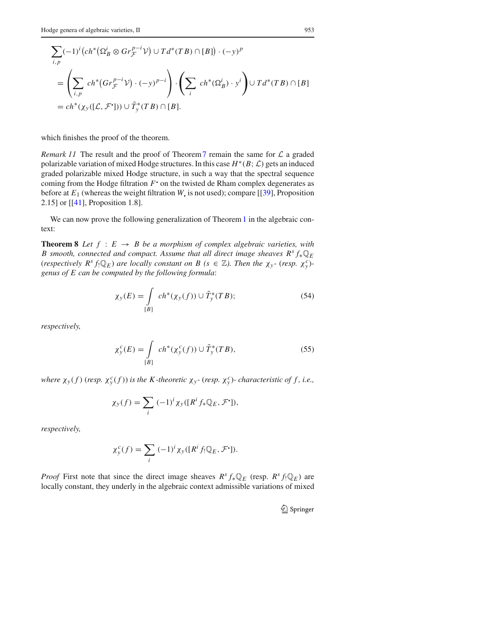$$
\sum_{i,p} (-1)^i (ch^*(\Omega_B^i \otimes Gr_{\mathcal{F}}^{p-i}\mathcal{V}) \cup Td^*(TB) \cap [B]) \cdot (-y)^p
$$
  
= 
$$
\left(\sum_{i,p} ch^*(Gr_{\mathcal{F}}^{p-i}\mathcal{V}) \cdot (-y)^{p-i}\right) \cdot \left(\sum_i ch^*(\Omega_B^i) \cdot y^i\right) \cup Td^*(TB) \cap [B]
$$
  
= 
$$
ch^*(\chi_y([\mathcal{L}, \mathcal{F}^{\bullet}])) \cup \tilde{T}_y^*(TB) \cap [B].
$$

which finishes the proof of the theorem.

*Remark 11* The result and the proof of Theorem7 remain the same for *L* a graded polarizable variation of mixed Hodge structures. In this case  $H^*(B; \mathcal{L})$  gets an induced graded polarizable mixed Hodge structure, in such a way that the spectral sequence coming from the Hodge filtration  $F$ <sup>'</sup> on the twisted de Rham complex degenerates as before at  $E_1$  (whereas the weight filtration *W* is not used); compare [[39], Proposition 2.15] or [[41], Proposition 1.8].

We can now prove the following generalization of Theorem 1 in the algebraic context:

**Theorem 8** *Let*  $f : E \rightarrow B$  *be a morphism of complex algebraic varieties, with B smooth, connected and compact. Assume that all direct image sheaves R<sup>s</sup> <sup>f</sup>*∗Q*<sup>E</sup>* (*respectively*  $R^s f(\mathbb{Q}_E)$  *are locally constant on*  $B$  ( $s \in \mathbb{Z}$ ). Then the  $\chi_y$ - (*resp.*  $\chi_y^c$ )*genus of E can be computed by the following formula*:

$$
\chi_{\mathcal{Y}}(E) = \int\limits_{[B]} ch^*(\chi_{\mathcal{Y}}(f)) \cup \tilde{T}_{\mathcal{Y}}^*(TB); \tag{54}
$$

*respectively,*

$$
\chi_y^c(E) = \int\limits_{[B]} ch^*(\chi_y^c(f)) \cup \tilde{T}_y^*(TB),\tag{55}
$$

where  $\chi_y(f)$  (resp.  $\chi_y^c(f)$ ) is the K-theoretic  $\chi_y$ - (resp.  $\chi_y^c$ )- characteristic of f, i.e.,

$$
\chi_{y}(f) = \sum_{i} (-1)^{i} \chi_{y}([R^{i} f_{*} \mathbb{Q}_{E}, \mathcal{F}^{\cdot}]),
$$

*respectively,*

$$
\chi_{y}^{c}(f) = \sum_{i} (-1)^{i} \chi_{y}([R^{i} f_{!} \mathbb{Q}_{E}, \mathcal{F}^{i}]).
$$

*Proof* First note that since the direct image sheaves  $R^s f_* \mathbb{Q}_E$  (resp.  $R^s f! \mathbb{Q}_E$ ) are locally constant, they underly in the algebraic context admissible variations of mixed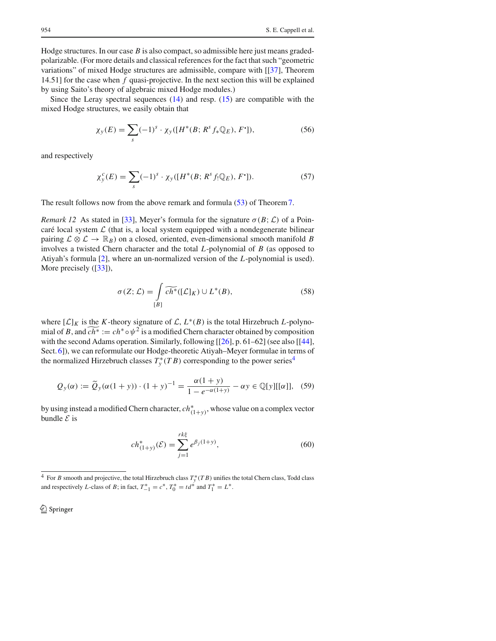Hodge structures. In our case *B* is also compact, so admissible here just means gradedpolarizable. (For more details and classical references for the fact that such "geometric variations" of mixed Hodge structures are admissible, compare with [[37], Theorem 14.51] for the case when *f* quasi-projective. In the next section this will be explained by using Saito's theory of algebraic mixed Hodge modules.)

Since the Leray spectral sequences (14) and resp. (15) are compatible with the mixed Hodge structures, we easily obtain that

$$
\chi_{y}(E) = \sum_{s} (-1)^{s} \cdot \chi_{y}([H^{*}(B; R^{s} f_{*} \mathbb{Q}_{E}), F^{\bullet}]), \tag{56}
$$

and respectively

$$
\chi_{y}^{c}(E) = \sum_{s} (-1)^{s} \cdot \chi_{y}([H^{*}(B; R^{s} f_{!} \mathbb{Q}_{E}), F^{*}]).
$$
\n(57)

The result follows now from the above remark and formula (53) of Theorem7.

*Remark 12* As stated in [33], Meyer's formula for the signature  $\sigma(B; \mathcal{L})$  of a Poincaré local system  $\mathcal L$  (that is, a local system equipped with a nondegenerate bilinear pairing  $\mathcal{L} \otimes \mathcal{L} \to \mathbb{R}_B$ ) on a closed, oriented, even-dimensional smooth manifold *B* involves a twisted Chern character and the total *L*-polynomial of *B* (as opposed to Atiyah's formula [2], where an un-normalized version of the *L*-polynomial is used). More precisely ([33]),

$$
\sigma(Z; \mathcal{L}) = \int_{[B]} \widetilde{ch^*}([\mathcal{L}]_K) \cup L^*(B), \tag{58}
$$

where  $[L]_K$  is the *K*-theory signature of *L*,  $L^*(B)$  is the total Hirzebruch *L*-polynomial of *B*, and  $c\overline{h^*} := ch^* \circ \psi^2$  is a modified Chern character obtained by composition with the second Adams operation. Similarly, following [[26], p. 61–62] (see also [[44], Sect. 6]), we can reformulate our Hodge-theoretic Atiyah–Meyer formulae in terms of the normalized Hirzebruch classes  $T_y^*(T B)$  corresponding to the power series<sup>4</sup>

$$
Q_y(\alpha) := \widetilde{Q}_y(\alpha(1+y)) \cdot (1+y)^{-1} = \frac{\alpha(1+y)}{1 - e^{-\alpha(1+y)}} - \alpha y \in \mathbb{Q}[y][[\alpha]], \quad (59)
$$

by using instead a modified Chern character,  $ch^*_{(1+y)}$ , whose value on a complex vector bundle *E* is

$$
ch_{(1+y)}^*(\mathcal{E}) = \sum_{j=1}^{rk\xi} e^{\beta_j(1+y)},\tag{60}
$$

 $^{4}$  For *B* smooth and projective, the total Hirzebruch class  $T_{y}^{*}(TB)$  unifies the total Chern class, Todd class and respectively *L*-class of *B*; in fact,  $T_{-1}^* = c^*$ ,  $T_0^* = td^*$  and  $T_1^* = L^*$ .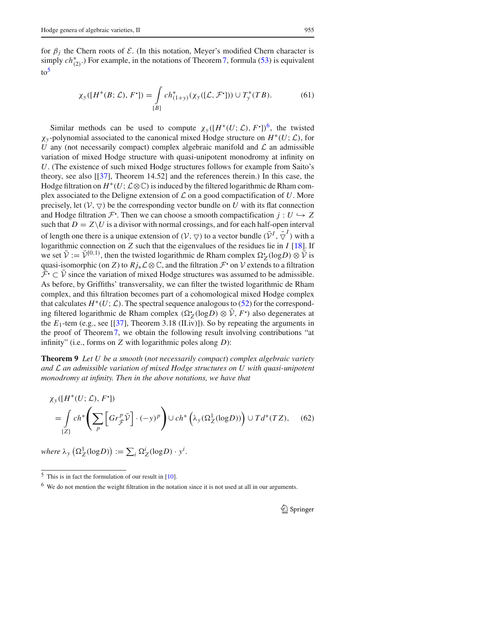for  $\beta_j$  the Chern roots of *E*. (In this notation, Meyer's modified Chern character is simply  $ch^*_{(2)}$ .) For example, in the notations of Theorem 7, formula (53) is equivalent  $to<sup>5</sup>$ 

$$
\chi_{y}([H^*(B; \mathcal{L}), F^{\bullet}]) = \int_{[B]} ch^*_{(1+y)}(\chi_{y}([L, \mathcal{F}^{\bullet}])) \cup T^*_{y}(TB). \tag{61}
$$

Similar methods can be used to compute  $\chi_y([H^*(U;\mathcal{L}), F])^6$ , the twisted χ*<sup>y</sup>* -polynomial associated to the canonical mixed Hodge structure on *H*∗*(U*;*L)*, for *U* any (not necessarily compact) complex algebraic manifold and  $\mathcal L$  an admissible variation of mixed Hodge structure with quasi-unipotent monodromy at infinity on *U*. (The existence of such mixed Hodge structures follows for example from Saito's theory, see also [[37], Theorem 14.52] and the references therein.) In this case, the Hodge filtration on  $H^*(U; \mathcal{L} \otimes \mathbb{C})$  is induced by the filtered logarithmic de Rham complex associated to the Deligne extension of *L* on a good compactification of *U*. More precisely, let  $(V, \nabla)$  be the corresponding vector bundle on U with its flat connection and Hodge filtration  $\mathcal{F}$ . Then we can choose a smooth compactification  $j: U \hookrightarrow Z$ such that  $D = Z \setminus U$  is a divisor with normal crossings, and for each half-open interval of length one there is a unique extension of  $(V, \nabla)$  to a vector bundle  $(\bar{V}^I, \bar{\nabla}^I)$  with a logarithmic connection on *Z* such that the eigenvalues of the residues lie in *I* [18]. If we set  $\bar{\mathcal{V}} := \bar{\mathcal{V}}^{[0,1)}$ , then the twisted logarithmic de Rham complex  $\Omega_Z^{\bullet}(\log D) \otimes \bar{\mathcal{V}}$  is quasi-isomorphic (on *Z*) to  $Rj_*\mathcal{L}\otimes\mathbb{C}$ , and the filtration  $\mathcal{F}$  on  $\mathcal{V}$  extends to a filtration  $\bar{\mathcal{F}}$   $\subset \bar{\mathcal{V}}$  since the variation of mixed Hodge structures was assumed to be admissible. As before, by Griffiths' transversality, we can filter the twisted logarithmic de Rham complex, and this filtration becomes part of a cohomological mixed Hodge complex that calculates  $H^*(U; \mathcal{L})$ . The spectral sequence analogous to (52) for the corresponding filtered logarithmic de Rham complex  $(\Omega_Z(\log D) \otimes \bar{V}, F)$  also degenerates at the  $E_1$ -tem (e.g., see [[37], Theorem 3.18 (II.iv)]). So by repeating the arguments in the proof of Theorem7, we obtain the following result involving contributions "at infinity" (i.e., forms on *Z* with logarithmic poles along *D*):

**Theorem 9** *Let U be a smooth* (*not necessarily compact*) *complex algebraic variety and L an admissible variation of mixed Hodge structures on U with quasi-unipotent monodromy at infinity. Then in the above notations, we have that*

$$
\chi_{y}([H^*(U; \mathcal{L}), F^{\bullet}])
$$
\n
$$
= \int_{[Z]} ch^* \left( \sum_{p} \left[ Gr^p_{\tilde{\mathcal{F}}} \tilde{\mathcal{V}} \right] \cdot (-y)^p \right) \cup ch^* \left( \lambda_y(\Omega_Z^1(\log D)) \right) \cup Td^*(TZ), \quad (62)
$$

 $$ 

 $5$  This is in fact the formulation of our result in [10].

<sup>6</sup> We do not mention the weight filtration in the notation since it is not used at all in our arguments.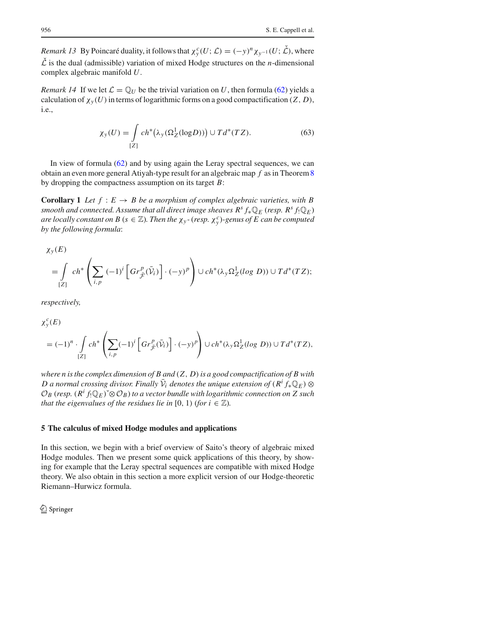*Remark 13* By Poincaré duality, it follows that  $\chi^c_y(U; \mathcal{L}) = (-y)^n \chi_{y^{-1}}(U; \mathcal{L})$ , where  $\check{\mathcal{L}}$  is the dual (admissible) variation of mixed Hodge structures on the *n*-dimensional complex algebraic manifold *U*.

*Remark 14* If we let  $\mathcal{L} = \mathbb{Q}_U$  be the trivial variation on *U*, then formula (62) yields a calculation of  $\chi_y(U)$  in terms of logarithmic forms on a good compactification  $(Z, D)$ , i.e.,

$$
\chi_{\mathcal{Y}}(U) = \int_{[Z]} ch^*(\lambda_{\mathcal{Y}}(\Omega_Z^1(\text{log} D))) \cup Td^*(TZ).
$$
 (63)

In view of formula  $(62)$  and by using again the Leray spectral sequences, we can obtain an even more general Atiyah-type result for an algebraic map *f* as in Theorem8 by dropping the compactness assumption on its target *B*:

**Corollary 1** *Let*  $f : E \to B$  *be a morphism of complex algebraic varieties, with B smooth and connected. Assume that all direct image sheaves*  $R^s f_* \mathbb{Q}_E$  *(<i>resp.*  $R^s f_* \mathbb{Q}_E$ ) *are locally constant on B* ( $s \in \mathbb{Z}$ ). Then the  $\chi_y$ -(resp.  $\chi_y^c$ )-genus of E can be computed *by the following formula*:

$$
\chi_{y}(E)
$$
\n
$$
= \int_{[Z]} ch^{*} \left( \sum_{i,p} (-1)^{i} \left[ Gr_{\overline{F}}^{p}(\overline{V}_{i}) \right] \cdot (-y)^{p} \right) \cup ch^{*}(\lambda_{y} \Omega_{Z}^{1}(log D)) \cup Td^{*}(TZ);
$$

*respectively,*

$$
\chi_{y}^{c}(E)
$$
\n
$$
= (-1)^{n} \cdot \int_{[Z]} ch^{*} \left( \sum_{i,p} (-1)^{i} \left[ Gr_{\bar{\mathcal{F}}}^{p}(\bar{\mathcal{V}}_{i}) \right] \cdot (-y)^{p} \right) \cup ch^{*}(\lambda_{y} \Omega_{Z}^{1}(log\ D)) \cup Td^{*}(TZ),
$$

*where n is the complex dimension of B and (Z, D)is a good compactification of B with D* a normal crossing divisor. Finally  $\bar{V}_i$  denotes the unique extension of  $(R^i f_* \mathbb{Q}_E) \otimes$  $\mathcal{O}_B$  (*resp.*  $(R^i f_! \mathbb{Q}_E)$ <sup>∗</sup>⊗ $\mathcal{O}_B$ ) *to a vector bundle with logarithmic connection on Z such that the eigenvalues of the residues lie in* [0, 1) (*for i*  $\in \mathbb{Z}$ ).

#### **5 The calculus of mixed Hodge modules and applications**

In this section, we begin with a brief overview of Saito's theory of algebraic mixed Hodge modules. Then we present some quick applications of this theory, by showing for example that the Leray spectral sequences are compatible with mixed Hodge theory. We also obtain in this section a more explicit version of our Hodge-theoretic Riemann–Hurwicz formula.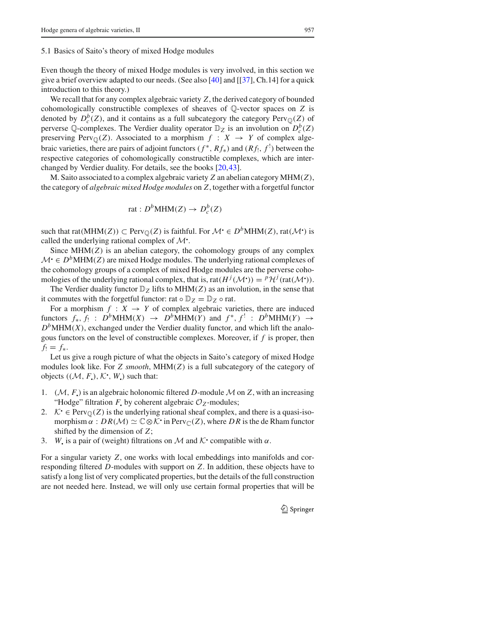5.1 Basics of Saito's theory of mixed Hodge modules

Even though the theory of mixed Hodge modules is very involved, in this section we give a brief overview adapted to our needs. (See also [40] and [[37], Ch.14] for a quick introduction to this theory.)

We recall that for any complex algebraic variety *Z*, the derived category of bounded cohomologically constructible complexes of sheaves of Q-vector spaces on *Z* is denoted by  $D_c^b(Z)$ , and it contains as a full subcategory the category  $Perv_{\mathbb{Q}}(Z)$  of perverse Q-complexes. The Verdier duality operator  $\mathbb{D}_Z$  is an involution on  $D_c^b(Z)$ preserving Perv<sub> $\mathbb{O}(Z)$ . Associated to a morphism  $f : X \rightarrow Y$  of complex alge-</sub> braic varieties, there are pairs of adjoint functors  $(f^*, Rf_*)$  and  $(Rf_!, f_*)$  between the respective categories of cohomologically constructible complexes, which are interchanged by Verdier duality. For details, see the books [20,43].

M. Saito associated to a complex algebraic variety *Z* an abelian category MHM*(Z)*, the category of *algebraic mixed Hodge modules* on *Z*, together with a forgetful functor

$$
rat: D^bMHM(Z) \to D_c^b(Z)
$$

such that  $rat(MHM(Z)) \subset Perv_{\mathbb{Q}}(Z)$  is faithful. For  $\mathcal{M} \cdot \in D^bMHM(Z)$ ,  $rat(\mathcal{M} \cdot)$  is called the underlying rational complex of  $\mathcal{M}$ .

Since MHM*(Z)* is an abelian category, the cohomology groups of any complex  $M \in D^b$ MHM(*Z*) are mixed Hodge modules. The underlying rational complexes of the cohomology groups of a complex of mixed Hodge modules are the perverse cohomologies of the underlying rational complex, that is, rat $(H^{j}(\mathcal{M}^{\bullet})) = {^{p}\mathcal{H}^{j}}$  (rat $(\mathcal{M}^{\bullet})$ ).

The Verdier duality functor  $\mathbb{D}_Z$  lifts to MHM(*Z*) as an involution, in the sense that it commutes with the forgetful functor: rat  $\circ \mathbb{D}_Z = \mathbb{D}_Z \circ \text{rat.}$ 

For a morphism  $f : X \to Y$  of complex algebraic varieties, there are induced functors  $f_*, f_! : D^bMHM(X) \rightarrow D^bMHM(Y)$  and  $f^*, f^! : D^bMHM(Y) \rightarrow$  $D<sup>b</sup>MHM(X)$ , exchanged under the Verdier duality functor, and which lift the analogous functors on the level of constructible complexes. Moreover, if *f* is proper, then  $f_! = f_*$ .

Let us give a rough picture of what the objects in Saito's category of mixed Hodge modules look like. For *Z smooth*, MHM*(Z)* is a full subcategory of the category of objects  $((\mathcal{M}, F), \mathcal{K}$ <sup>*,*</sup>,  $W$ <sub>*)*</sub> such that:

- 1.  $(\mathcal{M}, F)$  is an algebraic holonomic filtered D-module  $\mathcal M$  on Z, with an increasing "Hodge" filtration *F* by coherent algebraic  $O_Z$ -modules;
- 2.  $K \in \text{Perv}_{\mathbb{Q}}(Z)$  is the underlying rational sheaf complex, and there is a quasi-isomorphism  $\alpha$  :  $DR(\mathcal{M}) \simeq \mathbb{C} \otimes \mathcal{K}$  in Perv<sub> $\mathbb{C}(\mathbb{Z})$ , where DR is the de Rham functor</sub> shifted by the dimension of *Z*;
- 3. *W* is a pair of (weight) filtrations on *M* and *K* compatible with  $\alpha$ .

For a singular variety *Z*, one works with local embeddings into manifolds and corresponding filtered *D*-modules with support on *Z*. In addition, these objects have to satisfy a long list of very complicated properties, but the details of the full construction are not needed here. Instead, we will only use certain formal properties that will be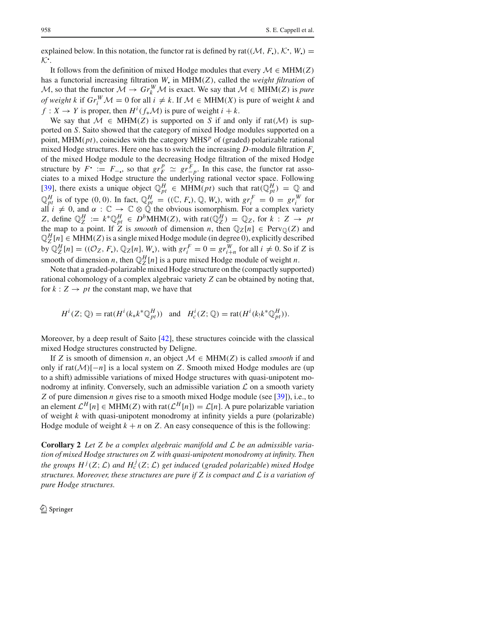explained below. In this notation, the functor rat is defined by rat $((\mathcal{M}, F_{\bullet}), \mathcal{K}^{\bullet}, W_{\bullet})$  = *K*! .

It follows from the definition of mixed Hodge modules that every  $M \in MHM(Z)$ has a functorial increasing filtration *W*! in MHM*(Z)*, called the *weight filtration* of *M*, so that the functor  $\mathcal{M} \to Gr_k^W \mathcal{M}$  is exact. We say that  $\mathcal{M} \in MHM(Z)$  is *pure of weight k* if  $Gr_i^W \mathcal{M} = 0$  for all  $i \neq k$ . If  $\mathcal{M} \in MHM(X)$  is pure of weight *k* and *f* : *X*  $\rightarrow$  *Y* is proper, then *H<sup>i</sup>*( $f_*\mathcal{M}$ ) is pure of weight  $i + k$ .

We say that  $M \in MHM(Z)$  is supported on *S* if and only if rat $(M)$  is supported on *S*. Saito showed that the category of mixed Hodge modules supported on a point, MHM*(pt)*, coincides with the category MHS*<sup>p</sup>* of (graded) polarizable rational mixed Hodge structures. Here one has to switch the increasing *D*-module filtration *F*! of the mixed Hodge module to the decreasing Hodge filtration of the mixed Hodge structure by  $F^{\bullet} := F_{-\bullet}$ , so that  $gr_F^p \simeq gr_{-p}^F$ . In this case, the functor rat associates to a mixed Hodge structure the underlying rational vector space. Following [39], there exists a unique object  $\mathbb{Q}_{pt}^H \in MHM(pt)$  such that rat $(\mathbb{Q}_{pt}^H) = \mathbb{Q}$  and  $\mathbb{Q}_{pt}^H$  is of type (0, 0). In fact,  $\mathbb{Q}_{pt}^H = ((\mathbb{C}, F_{\bullet}), \mathbb{Q}, W_{\bullet})$ , with  $gr_i^F = 0 = gr_i^W$  for all  $i \neq 0$ , and  $\alpha : \mathbb{C} \to \mathbb{C} \otimes \mathbb{Q}$  the obvious isomorphism. For a complex variety *Z*, define  $\mathbb{Q}_Z^H := k^* \mathbb{Q}_{pt}^H \in D^b \text{MHM}(Z)$ , with  $\text{rat}(\mathbb{Q}_Z^H) = \mathbb{Q}_Z$ , for  $k : Z \to pt$ the map to a point. If *Z* is *smooth* of dimension *n*, then  $\mathbb{Q}_Z[n] \in \text{Perv}_{\mathbb{Q}}(Z)$  and  $\mathbb{Q}_Z^H[n] \in \text{MHM}(Z)$  is a single mixed Hodge module (in degree 0), explicitly described by  $\mathbb{Q}_Z^H[n] = ((\mathcal{O}_Z, F_{\bullet}), \mathbb{Q}_Z[n], W_{\bullet})$ , with  $gr_i^F = 0 = gr_{i+n}^W$  for all  $i \neq 0$ . So if Z is smooth of dimension *n*, then  $\mathbb{Q}_Z^H[n]$  is a pure mixed Hodge module of weight *n*.

Note that a graded-polarizable mixed Hodge structure on the (compactly supported) rational cohomology of a complex algebraic variety *Z* can be obtained by noting that, for  $k: Z \rightarrow pt$  the constant map, we have that

$$
H^i(Z; \mathbb{Q}) = \text{rat}(H^i(k_*k^*\mathbb{Q}_{pt}^H)) \quad \text{and} \quad H^i_c(Z; \mathbb{Q}) = \text{rat}(H^i(k_!k^*\mathbb{Q}_{pt}^H)).
$$

Moreover, by a deep result of Saito [42], these structures coincide with the classical mixed Hodge structures constructed by Deligne.

If *Z* is smooth of dimension *n*, an object  $M \in MHM(Z)$  is called *smooth* if and only if rat*(M)*[−*n*] is a local system on *Z*. Smooth mixed Hodge modules are (up to a shift) admissible variations of mixed Hodge structures with quasi-unipotent monodromy at infinity. Conversely, such an admissible variation  $\mathcal L$  on a smooth variety *Z* of pure dimension *n* gives rise to a smooth mixed Hodge module (see [39]), i.e., to an element  $\mathcal{L}^H[n] \in \text{MHM}(Z)$  with rat $(\mathcal{L}^H[n]) = \mathcal{L}[n]$ . A pure polarizable variation of weight *k* with quasi-unipotent monodromy at infinity yields a pure (polarizable) Hodge module of weight  $k + n$  on  $Z$ . An easy consequence of this is the following:

**Corollary 2** *Let Z be a complex algebraic manifold and L be an admissible variation of mixed Hodge structures on Z with quasi-unipotent monodromy at infinity. Then the groups*  $H^j(Z; \mathcal{L})$  *and*  $H_c^j(Z; \mathcal{L})$  *get induced* (*graded polarizable*) *mixed Hodge structures. Moreover, these structures are pure if Z is compact and L is a variation of pure Hodge structures.*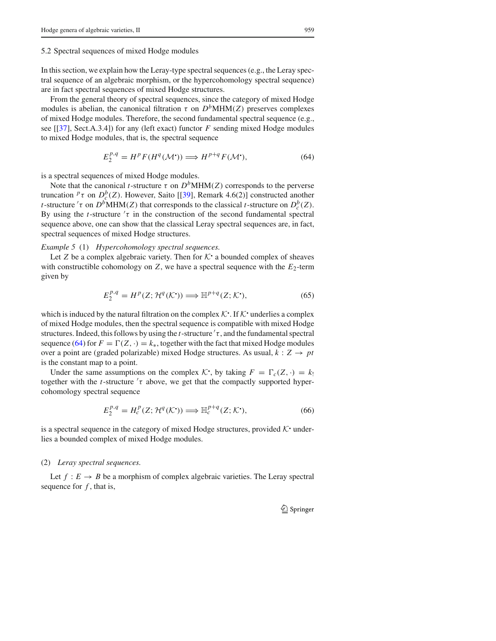#### 5.2 Spectral sequences of mixed Hodge modules

In this section, we explain how the Leray-type spectral sequences (e.g., the Leray spectral sequence of an algebraic morphism, or the hypercohomology spectral sequence) are in fact spectral sequences of mixed Hodge structures.

From the general theory of spectral sequences, since the category of mixed Hodge modules is abelian, the canonical filtration  $\tau$  on  $D<sup>b</sup>MHM(Z)$  preserves complexes of mixed Hodge modules. Therefore, the second fundamental spectral sequence (e.g., see [[37], Sect.A.3.4]) for any (left exact) functor *F* sending mixed Hodge modules to mixed Hodge modules, that is, the spectral sequence

$$
E_2^{p,q} = H^p F(H^q(\mathcal{M}^{\bullet})) \Longrightarrow H^{p+q} F(\mathcal{M}^{\bullet}), \tag{64}
$$

is a spectral sequences of mixed Hodge modules.

Note that the canonical *t*-structure  $\tau$  on  $D<sup>b</sup>MHM(Z)$  corresponds to the perverse truncation  $^p\tau$  on  $D_c^b(Z)$ . However, Saito [[39], Remark 4.6(2)] constructed another *t*-structure  $\tau$  on  $D^b$ MHM $(Z)$  that corresponds to the classical *t*-structure on  $D_c^b(Z)$ . By using the *t*-structure  $\tau$  in the construction of the second fundamental spectral sequence above, one can show that the classical Leray spectral sequences are, in fact, spectral sequences of mixed Hodge structures.

#### *Example 5* (1) *Hypercohomology spectral sequences.*

Let *Z* be a complex algebraic variety. Then for  $K^*$  a bounded complex of sheaves with constructible cohomology on  $Z$ , we have a spectral sequence with the  $E_2$ -term given by

$$
E_2^{p,q} = H^p(Z; \mathcal{H}^q(\mathcal{K}^{\bullet})) \Longrightarrow \mathbb{H}^{p+q}(Z; \mathcal{K}^{\bullet}), \tag{65}
$$

which is induced by the natural filtration on the complex  $K^{\bullet}$ . If  $K^{\bullet}$  underlies a complex of mixed Hodge modules, then the spectral sequence is compatible with mixed Hodge structures. Indeed, this follows by using the *t*-structure  $\tau$ , and the fundamental spectral sequence (64) for  $F = \Gamma(Z, \cdot) = k_*$ , together with the fact that mixed Hodge modules over a point are (graded polarizable) mixed Hodge structures. As usual,  $k: Z \rightarrow pt$ is the constant map to a point.

Under the same assumptions on the complex  $K$ , by taking  $F = \Gamma_c(Z, \cdot) = k_1$ together with the  $t$ -structure  $\tau$  above, we get that the compactly supported hypercohomology spectral sequence

$$
E_2^{p,q} = H_c^p(Z; \mathcal{H}^q(\mathcal{K}^{\bullet})) \Longrightarrow \mathbb{H}_c^{p+q}(Z; \mathcal{K}^{\bullet}), \tag{66}
$$

is a spectral sequence in the category of mixed Hodge structures, provided  $K$  underlies a bounded complex of mixed Hodge modules.

#### (2) *Leray spectral sequences.*

Let  $f : E \to B$  be a morphism of complex algebraic varieties. The Leray spectral sequence for *f* , that is,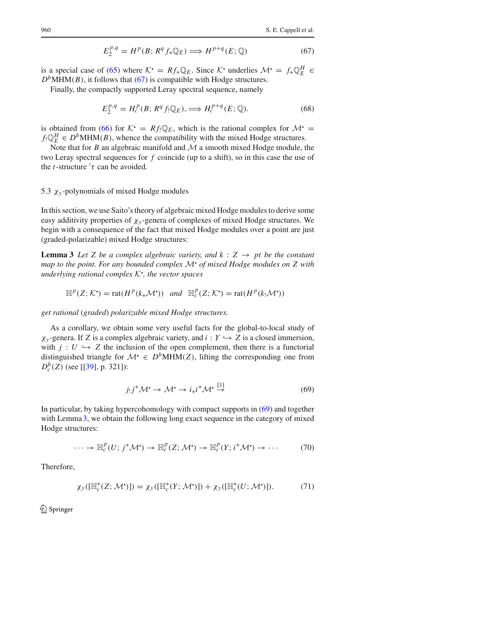$$
E_2^{p,q} = H^p(B; R^q f_* \mathbb{Q}_E) \Longrightarrow H^{p+q}(E; \mathbb{Q})
$$
\n(67)

is a special case of (65) where  $K^{\bullet} = Rf_{*}\mathbb{Q}_{E}$ . Since  $K^{\bullet}$  underlies  $\mathcal{M}^{\bullet} = f_{*}\mathbb{Q}_{E}^{H} \in$  $D<sup>b</sup>$ MHM(*B*), it follows that (67) is compatible with Hodge structures.

Finally, the compactly supported Leray spectral sequence, namely

$$
E_2^{p,q} = H_c^p(B; R^q f_! \mathbb{Q}_E), \Longrightarrow H_c^{p+q}(E; \mathbb{Q}).
$$
\n(68)

is obtained from (66) for  $K$  =  $Rf \mathbb{Q}_E$ , which is the rational complex for  $\mathcal{M}$  =  $f_! \mathbb{Q}_E^H \in D^b \text{MHM}(B)$ , whence the compatibility with the mixed Hodge structures.

Note that for *B* an algebraic manifold and *M* a smooth mixed Hodge module, the two Leray spectral sequences for *f* coincide (up to a shift), so in this case the use of the *t*-structure  $\tau$  can be avoided.

## 5.3  $\chi$ <sub>y</sub>-polynomials of mixed Hodge modules

In this section, we use Saito's theory of algebraic mixed Hodge modules to derive some easy additivity properties of χ*<sup>y</sup>* -genera of complexes of mixed Hodge structures. We begin with a consequence of the fact that mixed Hodge modules over a point are just (graded-polarizable) mixed Hodge structures:

**Lemma 3** *Let Z be a complex algebraic variety, and k : Z*  $\rightarrow$  *pt be the constant map to the point. For any bounded complex <sup>M</sup>*! *of mixed Hodge modules on Z with underlying rational complex <sup>K</sup>*! *, the vector spaces*

$$
\mathbb{H}^p(Z; \mathcal{K}^{\bullet}) = \text{rat}(H^p(k_*\mathcal{M}^{\bullet})) \quad \text{and} \quad \mathbb{H}^p_c(Z; \mathcal{K}^{\bullet}) = \text{rat}(H^p(k_!\mathcal{M}^{\bullet}))
$$

*get rational* (*graded*) *polarizable mixed Hodge structures.*

As a corollary, we obtain some very useful facts for the global-to-local study of  $\chi_y$ -genera. If *Z* is a complex algebraic variety, and  $i: Y \hookrightarrow Z$  is a closed immersion, with  $j: U \hookrightarrow Z$  the inclusion of the open complement, then there is a functorial distinguished triangle for  $\mathcal{M} \in D^bMHM(Z)$ , lifting the corresponding one from *Db <sup>c</sup> (Z)* (see [[39], p. 321]):

$$
j_!j^*\mathcal{M} \to \mathcal{M} \to i_*i^*\mathcal{M} \stackrel{[1]}{\to} \tag{69}
$$

In particular, by taking hypercohomology with compact supports in (69) and together with Lemma 3, we obtain the following long exact sequence in the category of mixed Hodge structures:

$$
\cdots \to \mathbb{H}_c^p(U; j^*\mathcal{M}^{\bullet}) \to \mathbb{H}_c^p(Z; \mathcal{M}^{\bullet}) \to \mathbb{H}_c^p(Y; i^*\mathcal{M}^{\bullet}) \to \cdots \tag{70}
$$

Therefore,

$$
\chi_{\mathcal{Y}}([\mathbb{H}_c^*(Z; \mathcal{M}^{\bullet})]) = \chi_{\mathcal{Y}}([\mathbb{H}_c^*(Y; \mathcal{M}^{\bullet})]) + \chi_{\mathcal{Y}}([\mathbb{H}_c^*(U; \mathcal{M}^{\bullet})]). \tag{71}
$$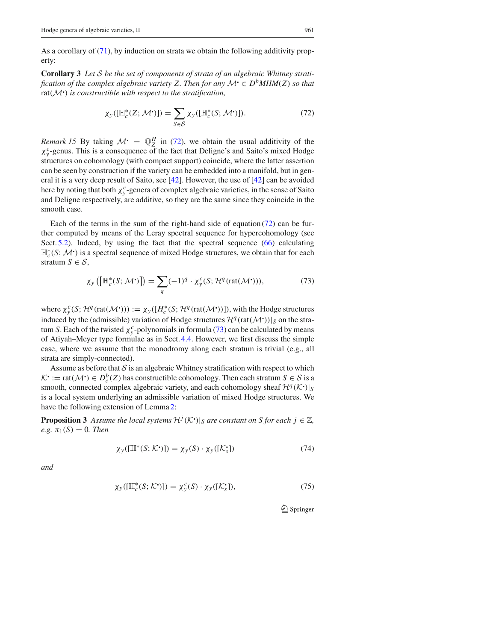As a corollary of (71), by induction on strata we obtain the following additivity property:

**Corollary 3** *Let S be the set of components of strata of an algebraic Whitney stratification of the complex algebraic variety Z. Then for any*  $\mathcal{M} \in D^bMHM(Z)$  *so that* rat*(M*! *) is constructible with respect to the stratification,*

$$
\chi_{\mathcal{Y}}([\mathbb{H}_c^*(Z; \mathcal{M}^{\bullet})]) = \sum_{S \in \mathcal{S}} \chi_{\mathcal{Y}}([\mathbb{H}_c^*(S; \mathcal{M}^{\bullet})]). \tag{72}
$$

*Remark 15* By taking  $\mathcal{M} = \mathbb{Q}_Z^H$  in (72), we obtain the usual additivity of the  $\chi^c$ -genus. This is a consequence of the fact that Deligne's and Saito's mixed Hodge structures on cohomology (with compact support) coincide, where the latter assertion can be seen by construction if the variety can be embedded into a manifold, but in general it is a very deep result of Saito, see [42]. However, the use of [42] can be avoided here by noting that both  $\chi^c_y$ -genera of complex algebraic varieties, in the sense of Saito and Deligne respectively, are additive, so they are the same since they coincide in the smooth case.

Each of the terms in the sum of the right-hand side of equation  $(72)$  can be further computed by means of the Leray spectral sequence for hypercohomology (see Sect.  $5.2$ ). Indeed, by using the fact that the spectral sequence (66) calculating H∗ *<sup>c</sup> (S*;*M*! *)* is a spectral sequence of mixed Hodge structures, we obtain that for each stratum  $S \in \mathcal{S}$ ,

$$
\chi_{y}\left(\left[\mathbb{H}_{c}^{*}(S; \mathcal{M}^{\bullet})\right]\right) = \sum_{q} (-1)^{q} \cdot \chi_{y}^{c}(S; \mathcal{H}^{q}(\text{rat}(\mathcal{M}^{\bullet}))), \tag{73}
$$

where  $\chi^c_y(S; \mathcal{H}^q(\text{rat}(\mathcal{M}^{\bullet}))) := \chi_y([H_c^*(S; \mathcal{H}^q(\text{rat}(\mathcal{M}^{\bullet}))]),$  with the Hodge structures induced by the (admissible) variation of Hodge structures  $\mathcal{H}^q(\text{rat}(\mathcal{M}^*))|_S$  on the stratum *S*. Each of the twisted  $\chi^c_y$ -polynomials in formula (73) can be calculated by means of Atiyah–Meyer type formulae as in Sect. 4.4. However, we first discuss the simple case, where we assume that the monodromy along each stratum is trivial (e.g., all strata are simply-connected).

Assume as before that *S* is an algebraic Whitney stratification with respect to which  $K^{\bullet} := \text{rat}(\mathcal{M}^{\bullet}) \in D_c^b(Z)$  has constructible cohomology. Then each stratum  $S \in \mathcal{S}$  is a smooth, connected complex algebraic variety, and each cohomology sheaf  $\mathcal{H}^q(\mathcal{K}^{\bullet})|_S$ is a local system underlying an admissible variation of mixed Hodge structures. We have the following extension of Lemma 2:

**Proposition 3** Assume the local systems  $\mathcal{H}^j(\mathcal{K}^{\bullet})|_S$  are constant on S for each  $j \in \mathbb{Z}$ ,  $e.g. \pi_1(S) = 0$ *. Then* 

$$
\chi_{\mathcal{Y}}([\mathbb{H}^*(S; \mathcal{K}^{\bullet})]) = \chi_{\mathcal{Y}}(S) \cdot \chi_{\mathcal{Y}}([\mathcal{K}^{\bullet}_{\mathcal{S}}]) \tag{74}
$$

*and*

$$
\chi_{\mathcal{Y}}([\mathbb{H}_c^*(S; \mathcal{K}^{\bullet})]) = \chi_{\mathcal{Y}}^c(S) \cdot \chi_{\mathcal{Y}}([\mathcal{K}_s]), \tag{75}
$$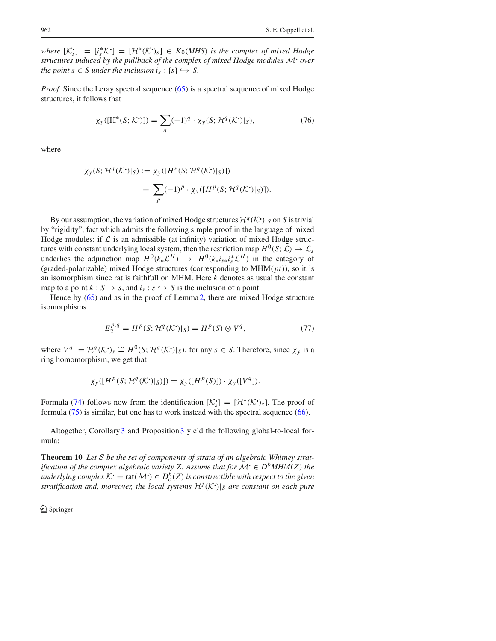*where*  $[K_s^{\bullet}] := [i_s^*K^{\bullet}] = [\mathcal{H}^*(K^{\bullet})_s] \in K_0(MHS)$  *is the complex of mixed Hodge structures induced by the pullback of the complex of mixed Hodge modules <sup>M</sup>*! *over the point*  $s \in S$  *under the inclusion*  $i_s : \{s\} \hookrightarrow S$ .

*Proof* Since the Leray spectral sequence (65) is a spectral sequence of mixed Hodge structures, it follows that

$$
\chi_{\mathcal{Y}}([\mathbb{H}^*(S; \mathcal{K}^{\bullet})]) = \sum_{q} (-1)^q \cdot \chi_{\mathcal{Y}}(S; \mathcal{H}^q(\mathcal{K}^{\bullet})|_S), \tag{76}
$$

where

$$
\chi_{y}(S; \mathcal{H}^{q}(\mathcal{K}^{\bullet})|_{S}) := \chi_{y}([H^{*}(S; \mathcal{H}^{q}(\mathcal{K}^{\bullet})|_{S})])
$$
  
= 
$$
\sum_{p} (-1)^{p} \cdot \chi_{y}([H^{p}(S; \mathcal{H}^{q}(\mathcal{K}^{\bullet})|_{S})]).
$$

By our assumption, the variation of mixed Hodge structures  $\mathcal{H}^q(\mathcal{K}^{\bullet})|_S$  on *S* is trivial by "rigidity", fact which admits the following simple proof in the language of mixed Hodge modules: if  $\mathcal L$  is an admissible (at infinity) variation of mixed Hodge structures with constant underlying local system, then the restriction map  $H^0(S; \mathcal{L}) \to \mathcal{L}_s$ underlies the adjunction map  $H^0(k_*\mathcal{L}^H) \rightarrow H^0(k_*i_{s*}i_s^*\mathcal{L}^H)$  in the category of (graded-polarizable) mixed Hodge structures (corresponding to MHM*(pt)*), so it is an isomorphism since rat is faithfull on MHM. Here *k* denotes as usual the constant map to a point  $k : S \to s$ , and  $i_s : s \hookrightarrow S$  is the inclusion of a point.

Hence by  $(65)$  and as in the proof of Lemma 2, there are mixed Hodge structure isomorphisms

$$
E_2^{p,q} = H^p(S; \mathcal{H}^q(\mathcal{K}^{\bullet})|_S) = H^p(S) \otimes V^q,
$$
\n(77)

where  $V^q := \mathcal{H}^q(\mathcal{K}^{\bullet})_s \cong H^0(S; \mathcal{H}^q(\mathcal{K}^{\bullet})|_S)$ , for any  $s \in S$ . Therefore, since  $\chi_y$  is a ring homomorphism, we get that

$$
\chi_y([H^p(S;{\mathcal H}^q({\mathcal K}^{\scriptscriptstyle\bullet})|_S)])=\chi_y([H^p(S)])\cdot\chi_y([V^q]).
$$

Formula (74) follows now from the identification  $[\mathcal{K}_s] = [\mathcal{H}^*(\mathcal{K}^{\bullet})_s]$ . The proof of formula (75) is similar, but one has to work instead with the spectral sequence (66).

Altogether, Corollary 3 and Proposition 3 yield the following global-to-local formula:

**Theorem 10** *Let S be the set of components of strata of an algebraic Whitney stratification of the complex algebraic variety Z. Assume that for*  $\mathcal{M} \in D^bMHM(Z)$  *the underlying complex*  $K^{\bullet} = \text{rat}(\mathcal{M}^{\bullet}) \in D_c^b(Z)$  *is constructible with respect to the given stratification and, moreover, the local systems*  $\mathcal{H}^j(\mathcal{K}^{\bullet})|_S$  *are constant on each pure*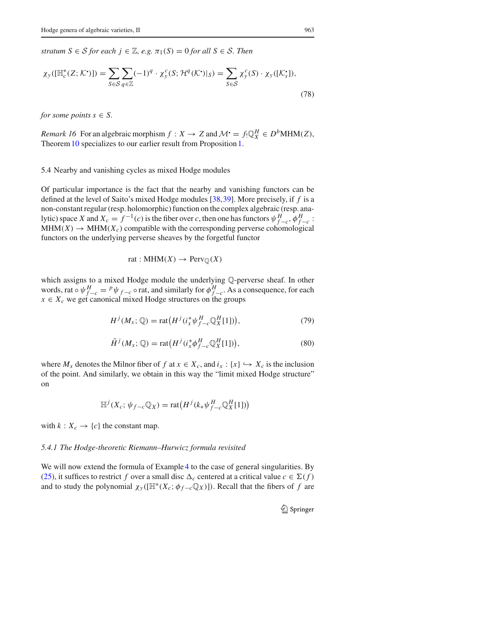*stratum*  $S \in S$  *for each*  $j \in \mathbb{Z}$ *, e.g.*  $\pi_1(S) = 0$  *for all*  $S \in S$ *. Then* 

$$
\chi_{\mathcal{Y}}([\mathbb{H}_c^*(Z; \mathcal{K}^{\bullet})]) = \sum_{S \in \mathcal{S}} \sum_{q \in \mathbb{Z}} (-1)^q \cdot \chi_{\mathcal{Y}}^c(S; \mathcal{H}^q(\mathcal{K}^{\bullet})|_S) = \sum_{S \in \mathcal{S}} \chi_{\mathcal{Y}}^c(S) \cdot \chi_{\mathcal{Y}}([\mathcal{K}^{\bullet}_{\mathcal{S}}]),
$$
\n(78)

*for some points*  $s \in S$ *.* 

*Remark 16* For an algebraic morphism  $f: X \to Z$  and  $\mathcal{M}^{\bullet} = f_! \mathbb{Q}_X^H \in D^b\text{MHM}(Z)$ , Theorem 10 specializes to our earlier result from Proposition 1.

#### 5.4 Nearby and vanishing cycles as mixed Hodge modules

Of particular importance is the fact that the nearby and vanishing functors can be defined at the level of Saito's mixed Hodge modules [38,39]. More precisely, if *f* is a non-constant regular (resp. holomorphic) function on the complex algebraic (resp. analytic) space *X* and  $X_c = f^{-1}(c)$  is the fiber over *c*, then one has functors  $\psi_{f-c}^H$ ,  $\phi_{f-c}^H$ .  $MHM(X) \rightarrow MHM(X_c)$  compatible with the corresponding perverse cohomological functors on the underlying perverse sheaves by the forgetful functor

rat : MHM(X) 
$$
\rightarrow
$$
 Perv<sub>Q</sub>(X)

which assigns to a mixed Hodge module the underlying Q-perverse sheaf. In other words, rat  $\circ \psi_{f-c}^H = {}^p \psi_{f-c} \circ \text{rat}$ , and similarly for  $\phi_{f-c}^H$ . As a consequence, for each  $x \in X_c$  we get canonical mixed Hodge structures on the groups

$$
H^{j}(M_{x};\mathbb{Q}) = \text{rat}\big(H^{j}(i_{x}^{*}\psi_{f-c}^{H}\mathbb{Q}_{X}^{H}[1])\big),\tag{79}
$$

$$
\tilde{H}^j(M_x; \mathbb{Q}) = \text{rat}\big(H^j(i_x^* \phi_{f-c}^H \mathbb{Q}_X^H[1])\big),\tag{80}
$$

where  $M_x$  denotes the Milnor fiber of  $f$  at  $x \in X_c$ , and  $i_x : \{x\} \hookrightarrow X_c$  is the inclusion of the point. And similarly, we obtain in this way the "limit mixed Hodge structure" on

$$
\mathbb{H}^{j}(X_c; \psi_{f-c}\mathbb{Q}_X) = \text{rat}\big(H^{j}(k_*\psi_{f-c}^H\mathbb{Q}_X^H[1])\big)
$$

with  $k: X_c \to \{c\}$  the constant map.

#### *5.4.1 The Hodge-theoretic Riemann–Hurwicz formula revisited*

We will now extend the formula of Example 4 to the case of general singularities. By (25), it suffices to restrict *f* over a small disc  $\Delta_c$  centered at a critical value  $c \in \Sigma(f)$ and to study the polynomial  $\chi_{\nu}([\mathbb{H}^*(X_c; \phi_{f-c}\mathbb{Q}_X)])$ . Recall that the fibers of f are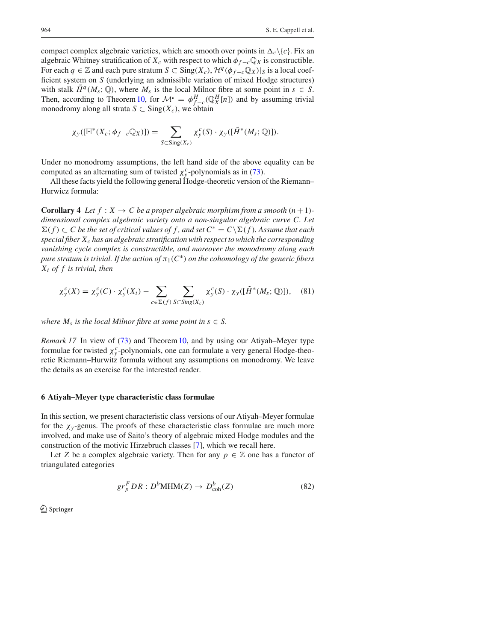compact complex algebraic varieties, which are smooth over points in  $\Delta_c \backslash \{c\}$ . Fix an algebraic Whitney stratification of  $X_c$  with respect to which  $\phi_{f-c} \mathbb{Q}_X$  is constructible. For each *q* ∈  $\mathbb Z$  and each pure stratum *S* ⊂ Sing(*X<sub>c</sub>*),  $\mathcal H^q(\phi_{f-c} \mathbb Q_X)|_S$  is a local coefficient system on *S* (underlying an admissible variation of mixed Hodge structures) with stalk  $H^q(M_s; \mathbb{Q})$ , where  $M_s$  is the local Milnor fibre at some point in  $s \in S$ . Then, according to Theorem 10, for  $\mathcal{M} = \phi_{f-c}^H(\mathbb{Q}_X^H[n])$  and by assuming trivial monodromy along all strata  $S \subset Sing(X_c)$ , we obtain

$$
\chi_{y}([\mathbb{H}^*(X_c; \phi_{f-c}\mathbb{Q}_X)]) = \sum_{S \subset \text{Sing}(X_c)} \chi_{y}^c(S) \cdot \chi_{y}([\tilde{H}^*(M_S; \mathbb{Q})]).
$$

Under no monodromy assumptions, the left hand side of the above equality can be computed as an alternating sum of twisted  $\chi_y^c$ -polynomials as in (73).

All these facts yield the following general Hodge-theoretic version of the Riemann– Hurwicz formula:

**Corollary 4** Let  $f : X \to C$  be a proper algebraic morphism from a smooth  $(n+1)$ *dimensional complex algebraic variety onto a non-singular algebraic curve C. Let*  $\sum(f)$  ⊂ *C* be the set of critical values of f, and set  $C^* = C\setminus\Sigma(f)$ . Assume that each *special fiber Xc has an algebraic stratification with respect to which the corresponding vanishing cycle complex is constructible, and moreover the monodromy along each pure stratum is trivial. If the action of*  $\pi_1(C^*)$  *on the cohomology of the generic fibers Xt of f is trivial, then*

$$
\chi_y^c(X) = \chi_y^c(C) \cdot \chi_y^c(X_t) - \sum_{c \in \Sigma(f)} \sum_{S \subset Sing(X_c)} \chi_y^c(S) \cdot \chi_y([\tilde{H}^*(M_S; \mathbb{Q})]), \quad (81)
$$

*where*  $M_s$  *is the local Milnor fibre at some point in s*  $\in$  *S*.

*Remark 17* In view of (73) and Theorem 10, and by using our Atiyah–Meyer type formulae for twisted  $\chi^c_y$ -polynomials, one can formulate a very general Hodge-theoretic Riemann–Hurwitz formula without any assumptions on monodromy. We leave the details as an exercise for the interested reader.

#### **6 Atiyah–Meyer type characteristic class formulae**

In this section, we present characteristic class versions of our Atiyah–Meyer formulae for the  $\chi$ <sub>*y*</sub>-genus. The proofs of these characteristic class formulae are much more involved, and make use of Saito's theory of algebraic mixed Hodge modules and the construction of the motivic Hirzebruch classes [7], which we recall here.

Let *Z* be a complex algebraic variety. Then for any  $p \in \mathbb{Z}$  one has a functor of triangulated categories

$$
gr_P^F DR : D^bMHM(Z) \to D^b_{coh}(Z)
$$
 (82)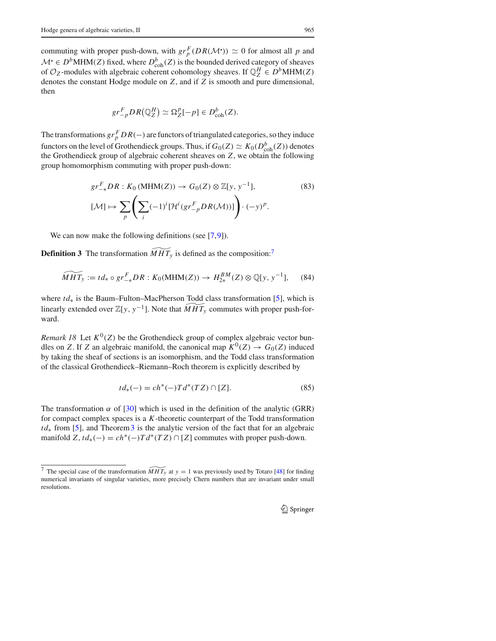commuting with proper push-down, with  $gr_p^F(DR(\mathcal{M}^{\bullet})) \simeq 0$  for almost all *p* and *M*  $\cdot$  ∈ *D*<sup>*b*</sup>MHM(*Z*) fixed, where  $D_{\text{coh}}^{b}(Z)$  is the bounded derived category of sheaves of  $\mathcal{O}_Z$ -modules with algebraic coherent cohomology sheaves. If  $\mathbb{Q}_Z^H \in D^b\text{MHM}(Z)$ denotes the constant Hodge module on *Z*, and if *Z* is smooth and pure dimensional, then

$$
gr_{-p}^FDR(\mathbb{Q}_Z^H) \simeq \Omega_Z^p[-p] \in D^b_{\text{coh}}(Z).
$$

The transformations  $gr^F_p DR(-)$  are functors of triangulated categories, so they induce functors on the level of Grothendieck groups. Thus, if  $G_0(Z) \simeq K_0(D_{\rm coh}^b(Z))$  denotes the Grothendieck group of algebraic coherent sheaves on *Z*, we obtain the following group homomorphism commuting with proper push-down:

$$
gr_{-*}^{F}DR: K_0(MHM(Z)) \to G_0(Z) \otimes \mathbb{Z}[y, y^{-1}],
$$
\n
$$
[\mathcal{M}] \mapsto \sum_{p} \left( \sum_{i} (-1)^{i} [\mathcal{H}^{i} (gr_{-p}^{F} DR(\mathcal{M}))] \right) \cdot (-y)^{p}.
$$
\n(83)

We can now make the following definitions (see [7,9]).

**Definition 3** The transformation  $\widetilde{MHT_y}$  is defined as the composition:<sup>7</sup>

$$
\widetilde{MHT}_y := td_* \circ gr^F_{-*} DR: K_0(\text{MHM}(Z)) \to H^{BM}_{2*}(Z) \otimes \mathbb{Q}[y, y^{-1}], \quad (84)
$$

where *td*<sup>∗</sup> is the Baum–Fulton–MacPherson Todd class transformation [5], which is linearly extended over  $\mathbb{Z}[y, y^{-1}]$ . Note that  $\widetilde{MH}_y$  commutes with proper push-forward.

*Remark 18* Let  $K^0(Z)$  be the Grothendieck group of complex algebraic vector bundles on *Z*. If *Z* an algebraic manifold, the canonical map  $K^0(Z) \to G_0(Z)$  induced by taking the sheaf of sections is an isomorphism, and the Todd class transformation of the classical Grothendieck–Riemann–Roch theorem is explicitly described by

$$
td_*(-) = ch^*(-)Td^*(TZ) \cap [Z]. \tag{85}
$$

The transformation  $\alpha$  of [30] which is used in the definition of the analytic (GRR) for compact complex spaces is a *K*-theoretic counterpart of the Todd transformation *td*<sup>∗</sup> from [5], and Theorem 3 is the analytic version of the fact that for an algebraic manifold  $Z, td_*(-) = ch^*(-)Td^*(TZ) \cap [Z]$  commutes with proper push-down.

<sup>&</sup>lt;sup>7</sup> The special case of the transformation  $\widetilde{MHT_y}$  at  $y = 1$  was previously used by Totaro [48] for finding numerical invariants of singular varieties, more precisely Chern numbers that are invariant under small resolutions.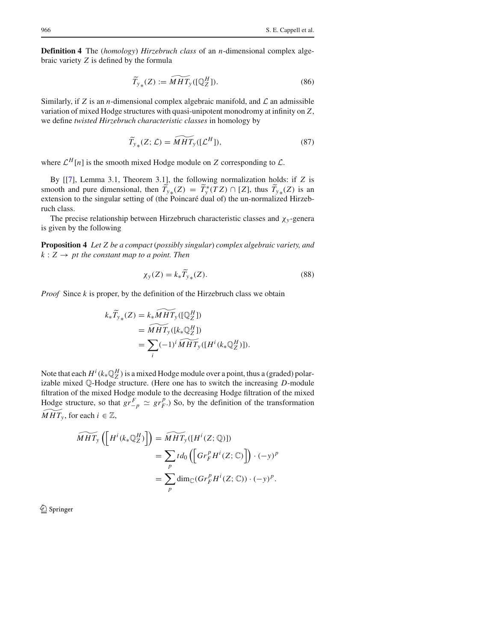**Definition 4** The (*homology*) *Hirzebruch class* of an *n*-dimensional complex algebraic variety *Z* is defined by the formula

$$
\widetilde{T}_{y*}(Z) := \widetilde{MHT}_y([\mathbb{Q}_Z^H]).
$$
\n(86)

Similarly, if *Z* is an *n*-dimensional complex algebraic manifold, and *L* an admissible variation of mixed Hodge structures with quasi-unipotent monodromy at infinity on *Z*, we define *twisted Hirzebruch characteristic classes* in homology by

$$
\widetilde{T}_{y*}(Z; \mathcal{L}) = \widetilde{MHT}_y([\mathcal{L}^H]), \tag{87}
$$

where  $\mathcal{L}^H[n]$  is the smooth mixed Hodge module on *Z* corresponding to  $\mathcal{L}$ .

By [[7], Lemma 3.1, Theorem 3.1], the following normalization holds: if *Z* is smooth and pure dimensional, then  $T_{y*}(Z) = T^*_{y}(TZ) \cap [Z]$ , thus  $T_{y*}(Z)$  is an extension to the singular setting of (the Poincaré dual of) the un-normalized Hirzebruch class.

The precise relationship between Hirzebruch characteristic classes and χ*<sup>y</sup>* -genera is given by the following

**Proposition 4** *Let Z be a compact* (*possibly singular*) *complex algebraic variety, and*  $k: Z \rightarrow pt$  *the constant map to a point. Then* 

$$
\chi_{\mathcal{Y}}(Z) = k_{*} \widetilde{T}_{\mathcal{Y}_{*}}(Z). \tag{88}
$$

*Proof* Since *k* is proper, by the definition of the Hirzebruch class we obtain

$$
k_*\widetilde{T}_{y*}(Z) = k_*\widetilde{MHT}_y([\mathbb{Q}_Z^H])
$$
  
=  $\widetilde{MHT}_y([k_*\mathbb{Q}_Z^H])$   
=  $\sum_i (-1)^i \widetilde{MHT}_y([H^i(k_*\mathbb{Q}_Z^H)]).$ 

Note that each  $H^i(k_*\mathbb{Q}_Z^H)$  is a mixed Hodge module over a point, thus a (graded) polarizable mixed Q-Hodge structure. (Here one has to switch the increasing *D*-module filtration of the mixed Hodge module to the decreasing Hodge filtration of the mixed Hodge structure, so that  $gr_{-p}^F \simeq gr_F^p$ .) So, by the definition of the transformation  $MHT_v$ , for each  $i \in \mathbb{Z}$ ,

$$
\widetilde{MHT}_{y}\left(\left[H^{i}(k_{*}\mathbb{Q}_{Z}^{H})\right]\right) = \widetilde{MHT}_{y}([H^{i}(Z;\mathbb{Q})])
$$
\n
$$
= \sum_{p} td_{0}\left(\left[Gr_{F}^{p}H^{i}(Z;\mathbb{C})\right]\right)\cdot (-y)^{p}
$$
\n
$$
= \sum_{p} \dim_{\mathbb{C}}(Gr_{F}^{p}H^{i}(Z;\mathbb{C}))\cdot (-y)^{p}.
$$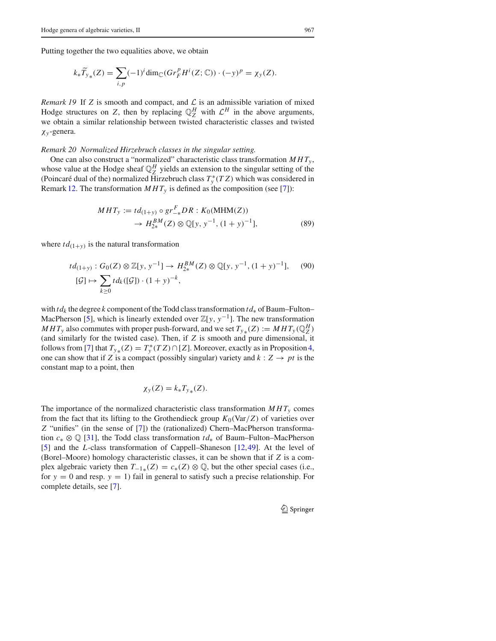Putting together the two equalities above, we obtain

$$
k_*\widetilde{T}_{y*}(Z) = \sum_{i,p} (-1)^i \dim_{\mathbb{C}}(Gr_F^p H^i(Z; \mathbb{C})) \cdot (-y)^p = \chi_y(Z).
$$

*Remark 19* If *Z* is smooth and compact, and  $\mathcal{L}$  is an admissible variation of mixed Hodge structures on *Z*, then by replacing  $\mathbb{Q}_Z^H$  with  $\mathcal{L}^H$  in the above arguments, we obtain a similar relationship between twisted characteristic classes and twisted χ*<sup>y</sup>* -genera.

## *Remark 20 Normalized Hirzebruch classes in the singular setting.*

One can also construct a "normalized" characteristic class transformation *MHTy* , whose value at the Hodge sheaf  $\mathbb{Q}_Z^H$  yields an extension to the singular setting of the (Poincaré dual of the) normalized Hirzebruch class  $T_y^*(TZ)$  which was considered in Remark 12. The transformation  $MHT_y$  is defined as the composition (see [7]):

$$
MHT_y := td_{(1+y)} \circ gr_{-*}^F DR : K_0(MHM(Z))
$$
  
\n
$$
\rightarrow H_{2*}^{BM}(Z) \otimes \mathbb{Q}[y, y^{-1}, (1+y)^{-1}],
$$
 (89)

where  $td_{(1+y)}$  is the natural transformation

$$
td_{(1+y)}: G_0(Z) \otimes \mathbb{Z}[y, y^{-1}] \to H_{2*}^{BM}(Z) \otimes \mathbb{Q}[y, y^{-1}, (1+y)^{-1}], \quad (90)
$$
  

$$
[\mathcal{G}] \mapsto \sum_{k \ge 0} td_k([\mathcal{G}]) \cdot (1+y)^{-k},
$$

with *tdk* the degree *k* component of the Todd class transformation *td*<sup>∗</sup> of Baum–Fulton– MacPherson [5], which is linearly extended over  $\mathbb{Z}[y, y^{-1}]$ . The new transformation *MHT<sub>y</sub>* also commutes with proper push-forward, and we set  $T_{y*}(Z) := MHT_y(\mathbb{Q}_Z^H)$ (and similarly for the twisted case). Then, if *Z* is smooth and pure dimensional, it follows from [7] that  $T_{y*}(Z) = T^*(TZ) \cap [Z]$ . Moreover, exactly as in Proposition 4, one can show that if *Z* is a compact (possibly singular) variety and  $k: Z \rightarrow pt$  is the constant map to a point, then

$$
\chi_{\mathcal{Y}}(Z) = k_* T_{\mathcal{Y}_*}(Z).
$$

The importance of the normalized characteristic class transformation  $MHT_y$  comes from the fact that its lifting to the Grothendieck group  $K_0(\text{Var}/Z)$  of varieties over *Z* "unifies" (in the sense of [7]) the (rationalized) Chern–MacPherson transformation *c*<sup>∗</sup> ⊗ Q [31], the Todd class transformation *td*<sup>∗</sup> of Baum–Fulton–MacPherson [5] and the *L*-class transformation of Cappell–Shaneson [12,49]. At the level of (Borel–Moore) homology characteristic classes, it can be shown that if *Z* is a complex algebraic variety then  $T_{-1*}(Z) = c_*(Z) \otimes \mathbb{Q}$ , but the other special cases (i.e., for  $y = 0$  and resp.  $y = 1$ ) fail in general to satisfy such a precise relationship. For complete details, see [7].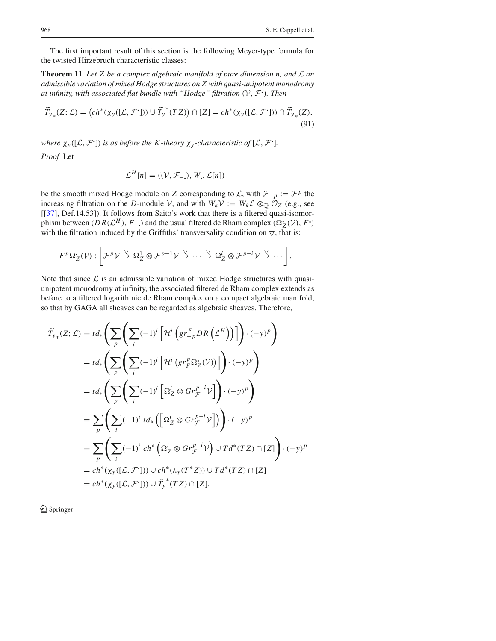The first important result of this section is the following Meyer-type formula for the twisted Hirzebruch characteristic classes:

**Theorem 11** *Let Z be a complex algebraic manifold of pure dimension n, and L an admissible variation of mixed Hodge structures on Z with quasi-unipotent monodromy at infinity, with associated flat bundle with "Hodge" filtration (V, <sup>F</sup>*! *). Then*

$$
\widetilde{T}_{y*}(Z;\mathcal{L}) = \left( ch^*(\chi_y([\mathcal{L}, \mathcal{F}^{\bullet}])) \cup \widetilde{T}_y^*(TZ) \right) \cap [Z] = ch^*(\chi_y([\mathcal{L}, \mathcal{F}^{\bullet}])) \cap \widetilde{T}_{y*}(Z),
$$
\n(91)

*where*  $\chi_y([L, \mathcal{F}])$  *is as before the K*-theory  $\chi_y$ -characteristic of  $[L, \mathcal{F}']$ *. Proof* Let

$$
\mathcal{L}^H[n] = ((\mathcal{V}, \mathcal{F}_{-n}), W_n, \mathcal{L}[n])
$$

be the smooth mixed Hodge module on *Z* corresponding to *L*, with  $\mathcal{F}_{-p} := \mathcal{F}^p$  the increasing filtration on the *D*-module *V*, and with  $W_k V := W_k \mathcal{L} \otimes_{\mathbb{Q}} \mathcal{O}_Z$  (e.g., see [[37], Def.14.53]). It follows from Saito's work that there is a filtered quasi-isomorphism between *(DR(* $\mathcal{L}^H$ *), F*<sub>−</sub>.) and the usual filtered de Rham complex  $(\Omega_Z^{\bullet}(\mathcal{V}), F^{\bullet})$ with the filtration induced by the Griffiths' transversality condition on  $\nabla$ , that is:

$$
F^p\Omega_Z^{\bullet}(\mathcal{V}) : \left[\mathcal{F}^p\mathcal{V} \stackrel{\triangledown}{\to} \Omega_Z^1 \otimes \mathcal{F}^{p-1}\mathcal{V} \stackrel{\triangledown}{\to} \cdots \stackrel{\triangledown}{\to} \Omega_Z^i \otimes \mathcal{F}^{p-i}\mathcal{V} \stackrel{\triangledown}{\to} \cdots \right].
$$

Note that since  $\mathcal L$  is an admissible variation of mixed Hodge structures with quasiunipotent monodromy at infinity, the associated filtered de Rham complex extends as before to a filtered logarithmic de Rham complex on a compact algebraic manifold, so that by GAGA all sheaves can be regarded as algebraic sheaves. Therefore,

$$
\widetilde{T}_{y*}(Z; \mathcal{L}) = td_* \left( \sum_{p} \left( \sum_{i} (-1)^i \left[ \mathcal{H}^i \left( gr_{-p}^F DR \left( \mathcal{L}^H \right) \right) \right] \right) \cdot (-y)^p \right)
$$
\n
$$
= td_* \left( \sum_{p} \left( \sum_{i} (-1)^i \left[ \mathcal{H}^i \left( gr_F^P \Omega_Z^*(\mathcal{V}) \right) \right] \right) \cdot (-y)^p \right)
$$
\n
$$
= td_* \left( \sum_{p} \left( \sum_{i} (-1)^i \left[ \Omega_Z^i \otimes Gr_{\mathcal{F}}^{p-i} \mathcal{V} \right] \right) \cdot (-y)^p \right)
$$
\n
$$
= \sum_{p} \left( \sum_{i} (-1)^i td_* \left( \left[ \Omega_Z^i \otimes Gr_{\mathcal{F}}^{p-i} \mathcal{V} \right] \right) \right) \cdot (-y)^p
$$
\n
$$
= \sum_{p} \left( \sum_{i} (-1)^i ch^* \left( \Omega_Z^i \otimes Gr_{\mathcal{F}}^{p-i} \mathcal{V} \right) \cup Td^*(TZ) \cap [Z] \right) \cdot (-y)^p
$$
\n
$$
= ch^*(\chi_y([L, \mathcal{F}^1])) \cup ch^*(\lambda_y(T^*Z)) \cup Td^*(TZ) \cap [Z]
$$
\n
$$
= ch^*(\chi_y([L, \mathcal{F}^1])) \cup \widetilde{T}_y^*(TZ) \cap [Z].
$$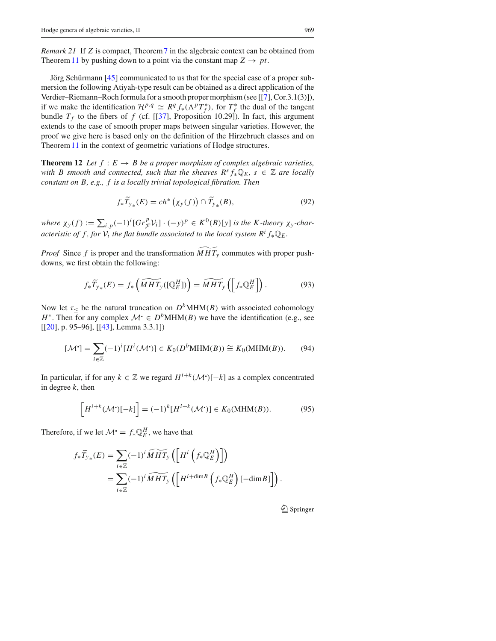*Remark 21* If *Z* is compact, Theorem7 in the algebraic context can be obtained from Theorem 11 by pushing down to a point via the constant map  $Z \rightarrow pt$ .

Jörg Schürmann [45] communicated to us that for the special case of a proper submersion the following Atiyah-type result can be obtained as a direct application of the Verdier–Riemann–Roch formula for a smooth proper morphism (see [[7], Cor.3.1(3)]), if we make the identification  $\mathcal{H}^{p,q} \simeq R^q f_*(\Lambda^p T_f^*)$ , for  $T_f^*$  the dual of the tangent bundle  $T_f$  to the fibers of f (cf. [[37], Proposition 10.29]). In fact, this argument extends to the case of smooth proper maps between singular varieties. However, the proof we give here is based only on the definition of the Hirzebruch classes and on Theorem 11 in the context of geometric variations of Hodge structures.

**Theorem 12** *Let*  $f : E \to B$  *be a proper morphism of complex algebraic varieties, with B smooth and connected, such that the sheaves*  $R^s f_* \mathbb{Q}_E$ *,*  $s \in \mathbb{Z}$  *are locally constant on B, e.g., f is a locally trivial topological fibration. Then*

$$
f_*\widetilde{T}_{y*}(E) = ch^*\left(\chi_y(f)\right) \cap \widetilde{T}_{y*}(B),\tag{92}
$$

where  $\chi_y(f) := \sum_{i,p} (-1)^i [Gr_{\mathcal{F}}^p \mathcal{V}_i] \cdot (-y)^p \in K^0(B)[y]$  is the K-theory  $\chi_y$ -char*acteristic of f, for*  $V_i$  *the flat bundle associated to the local system*  $R^i f_* \mathbb{Q}_E$ *.* 

*Proof* Since *f* is proper and the transformation  $MHT_v$  commutes with proper pushdowns, we first obtain the following:

$$
f_*\widetilde{T}_{y*}(E) = f_*\left(\widetilde{MHT}_y([\mathbb{Q}_E^H])\right) = \widetilde{MHT}_y\left(\left[f_*\mathbb{Q}_E^H\right]\right). \tag{93}
$$

Now let  $\tau_{\leq}$  be the natural truncation on  $D^b$ MHM(*B*) with associated cohomology *H*<sup>\*</sup>. Then for any complex  $\mathcal{M} \in D^b\text{MHM}(B)$  we have the identification (e.g., see [[20], p. 95–96], [[43], Lemma 3.3.1])

$$
[\mathcal{M}^{\bullet}] = \sum_{i \in \mathbb{Z}} (-1)^{i} [H^{i}(\mathcal{M}^{\bullet})] \in K_0(D^b \text{MHM}(B)) \cong K_0(\text{MHM}(B)). \tag{94}
$$

In particular, if for any *k* ∈  $\mathbb{Z}$  we regard  $H^{i+k}(\mathcal{M}^{\bullet})[-k]$  as a complex concentrated in degree *k*, then

$$
\left[H^{i+k}(\mathcal{M}^{\bullet})[-k]\right] = (-1)^{k} [H^{i+k}(\mathcal{M}^{\bullet})] \in K_0(\text{MHM}(B)).\tag{95}
$$

Therefore, if we let  $\mathcal{M}^{\bullet} = f_{*} \mathbb{Q}_{E}^{H}$ , we have that

$$
f_*\widetilde{T}_{y*}(E) = \sum_{i \in \mathbb{Z}} (-1)^i \widetilde{MHT}_y \left( \left[ H^i \left( f_* \mathbb{Q}_E^H \right) \right] \right)
$$
  
= 
$$
\sum_{i \in \mathbb{Z}} (-1)^i \widetilde{MHT}_y \left( \left[ H^{i + \dim B} \left( f_* \mathbb{Q}_E^H \right) [-\dim B] \right] \right).
$$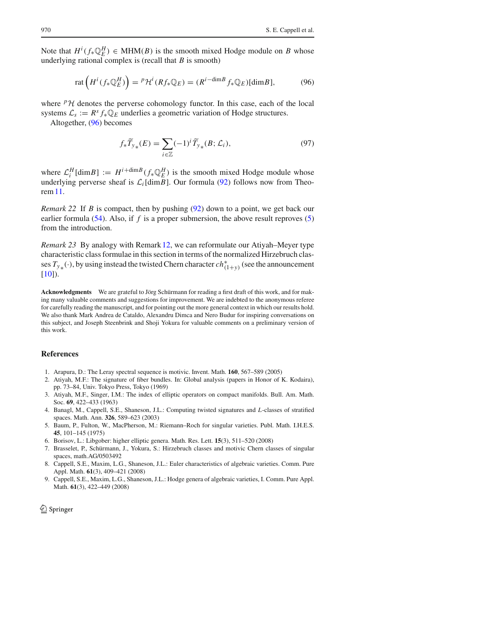Note that  $H^i(f_*\mathbb{Q}_E^H) \in \text{MHM}(B)$  is the smooth mixed Hodge module on *B* whose underlying rational complex is (recall that *B* is smooth)

$$
\operatorname{rat}\left(H^i(f_*\mathbb{Q}_E^H)\right) = {}^p\mathcal{H}^i(Rf_*\mathbb{Q}_E) = (R^{i-\dim B}f_*\mathbb{Q}_E)[\dim B],\tag{96}
$$

where  $P\mathcal{H}$  denotes the perverse cohomology functor. In this case, each of the local systems  $\mathcal{L}_s := R^s f_* \mathbb{Q}_E$  underlies a geometric variation of Hodge structures.

Altogether, (96) becomes

$$
f_*\widetilde{T}_{y*}(E) = \sum_{i \in \mathbb{Z}} (-1)^i \widetilde{T}_{y*}(B; \mathcal{L}_i), \tag{97}
$$

where  $\mathcal{L}_i^H$  [dim*B*] :=  $H^{i+\dim B}(f_*\mathbb{Q}_E^H)$  is the smooth mixed Hodge module whose underlying perverse sheaf is  $\mathcal{L}_i$ [dim*B*]. Our formula (92) follows now from Theorem11.

*Remark 22* If *B* is compact, then by pushing (92) down to a point, we get back our earlier formula  $(54)$ . Also, if *f* is a proper submersion, the above result reproves  $(5)$ from the introduction.

*Remark 23* By analogy with Remark 12, we can reformulate our Atiyah–Meyer type characteristic class formulae in this section in terms of the normalized Hirzebruch classes *Ty*∗*(*·*)*, by using instead the twisted Chern character *ch*<sup>∗</sup> *(*1+*y)* (see the announcement  $[10]$ ).

**Acknowledgments** We are grateful to Jörg Schürmann for reading a first draft of this work, and for making many valuable comments and suggestions for improvement. We are indebted to the anonymous referee for carefully reading the manuscript, and for pointing out the more general context in which our results hold. We also thank Mark Andrea de Cataldo, Alexandru Dimca and Nero Budur for inspiring conversations on this subject, and Joseph Steenbrink and Shoji Yokura for valuable comments on a preliminary version of this work.

#### **References**

- 1. Arapura, D.: The Leray spectral sequence is motivic. Invent. Math. **160**, 567–589 (2005)
- 2. Atiyah, M.F.: The signature of fiber bundles. In: Global analysis (papers in Honor of K. Kodaira), pp. 73–84, Univ. Tokyo Press, Tokyo (1969)
- 3. Atiyah, M.F., Singer, I.M.: The index of elliptic operators on compact manifolds. Bull. Am. Math. Soc. **69**, 422–433 (1963)
- 4. Banagl, M., Cappell, S.E., Shaneson, J.L.: Computing twisted signatures and *L*-classes of stratified spaces. Math. Ann. **326**, 589–623 (2003)
- 5. Baum, P., Fulton, W., MacPherson, M.: Riemann–Roch for singular varieties. Publ. Math. I.H.E.S. **45**, 101–145 (1975)
- 6. Borisov, L.: Libgober: higher elliptic genera. Math. Res. Lett. **15**(3), 511–520 (2008)
- 7. Brasselet, P., Schürmann, J., Yokura, S.: Hirzebruch classes and motivic Chern classes of singular spaces, math.AG/0503492
- 8. Cappell, S.E., Maxim, L.G., Shaneson, J.L.: Euler characteristics of algebraic varieties. Comm. Pure Appl. Math. **61**(3), 409–421 (2008)
- 9. Cappell, S.E., Maxim, L.G., Shaneson, J.L.: Hodge genera of algebraic varieties, I. Comm. Pure Appl. Math. **61**(3), 422–449 (2008)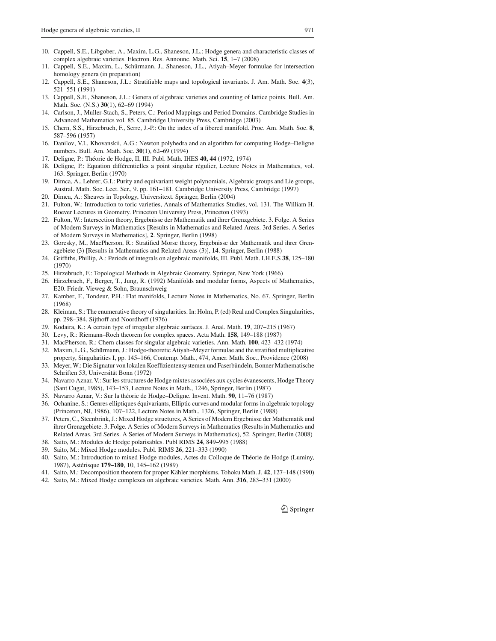- 10. Cappell, S.E., Libgober, A., Maxim, L.G., Shaneson, J.L.: Hodge genera and characteristic classes of complex algebraic varieties. Electron. Res. Announc. Math. Sci. **15**, 1–7 (2008)
- 11. Cappell, S.E., Maxim, L., Schürmann, J., Shaneson, J.L., Atiyah–Meyer formulae for intersection homology genera (in preparation)
- 12. Cappell, S.E., Shaneson, J.L.: Stratifiable maps and topological invariants. J. Am. Math. Soc. **4**(3), 521–551 (1991)
- 13. Cappell, S.E., Shaneson, J.L.: Genera of algebraic varieties and counting of lattice points. Bull. Am. Math. Soc. (N.S.) **30**(1), 62–69 (1994)
- 14. Carlson, J., Muller-Stach, S., Peters, C.: Period Mappings and Period Domains. Cambridge Studies in Advanced Mathematics vol. 85. Cambridge University Press, Cambridge (2003)
- 15. Chern, S.S., Hirzebruch, F., Serre, J.-P.: On the index of a fibered manifold. Proc. Am. Math. Soc. **8**, 587–596 (1957)
- 16. Danilov, V.I., Khovanskii, A.G.: Newton polyhedra and an algorithm for computing Hodge–Deligne numbers. Bull. Am. Math. Soc. **30**(1), 62–69 (1994)
- 17. Deligne, P.: Théorie de Hodge, II, III. Publ. Math. IHES **40, 44** (1972, 1974)
- 18. Deligne, P.: Equation différentielles a point singular régulier, Lecture Notes in Mathematics, vol. 163. Springer, Berlin (1970)
- 19. Dimca, A., Lehrer, G.I.: Purity and equivariant weight polynomials, Algebraic groups and Lie groups, Austral. Math. Soc. Lect. Ser., 9. pp. 161–181. Cambridge University Press, Cambridge (1997) 20. Dimca, A.: Sheaves in Topology, Universitext. Springer, Berlin (2004)
- 21. Fulton, W.: Introduction to toric varieties, Annals of Mathematics Studies, vol. 131. The William H. Roever Lectures in Geometry. Princeton University Press, Princeton (1993)
- 22. Fulton, W.: Intersection theory, Ergebnisse der Mathematik und ihrer Grenzgebiete. 3. Folge. A Series of Modern Surveys in Mathematics [Results in Mathematics and Related Areas. 3rd Series. A Series of Modern Surveys in Mathematics], **2**. Springer, Berlin (1998)
- 23. Goresky, M., MacPherson, R.: Stratified Morse theory, Ergebnisse der Mathematik und ihrer Grenzgebiete (3) [Results in Mathematics and Related Areas (3)], **14**. Springer, Berlin (1988)
- 24. Griffiths, Phillip, A.: Periods of integrals on algebraic manifolds, III. Publ. Math. I.H.E.S **38**, 125–180 (1970)
- 25. Hirzebruch, F.: Topological Methods in Algebraic Geometry. Springer, New York (1966)
- 26. Hirzebruch, F., Berger, T., Jung, R. (1992) Manifolds and modular forms, Aspects of Mathematics, E20. Friedr. Vieweg & Sohn, Braunschweig
- 27. Kamber, F., Tondeur, P.H.: Flat manifolds, Lecture Notes in Mathematics, No. 67. Springer, Berlin (1968)
- 28. Kleiman, S.: The enumerative theory of singularities. In: Holm, P. (ed) Real and Complex Singularities, pp. 298–384. Sijthoff and Noordhoff (1976)
- 29. Kodaira, K.: A certain type of irregular algebraic surfaces. J. Anal. Math. **19**, 207–215 (1967)
- 30. Levy, R.: Riemann–Roch theorem for complex spaces. Acta Math. **158**, 149–188 (1987)
- 31. MacPherson, R.: Chern classes for singular algebraic varieties. Ann. Math. **100**, 423–432 (1974)
- 32. Maxim, L.G., Schürmann, J.: Hodge-theoretic Atiyah–Meyer formulae and the stratified multiplicative property, Singularities I, pp. 145–166, Contemp. Math., 474, Amer. Math. Soc., Providence (2008)
- 33. Meyer, W.: Die Signatur von lokalen Koeffizientensystemen und Faserbündeln, Bonner Mathematische Schriften 53, Universität Bonn (1972)
- 34. Navarro Aznar, V.: Sur les structures de Hodge mixtes associées aux cycles évanescents, Hodge Theory (Sant Cugat, 1985), 143–153, Lecture Notes in Math., 1246, Springer, Berlin (1987)
- 35. Navarro Aznar, V.: Sur la théorie de Hodge–Deligne. Invent. Math. **90**, 11–76 (1987)
- 36. Ochanine, S.: Genres elliptiques équivariants, Elliptic curves and modular forms in algebraic topology (Princeton, NJ, 1986), 107–122, Lecture Notes in Math., 1326, Springer, Berlin (1988)
- 37. Peters, C., Steenbrink, J.: Mixed Hodge structures, A Series of Modern Ergebnisse der Mathematik und ihrer Grenzgebiete. 3. Folge. A Series of Modern Surveys in Mathematics (Results in Mathematics and Related Areas. 3rd Series. A Series of Modern Surveys in Mathematics), 52. Springer, Berlin (2008)
- 38. Saito, M.: Modules de Hodge polarisables. Publ RIMS **24**, 849–995 (1988)
- 39. Saito, M.: Mixed Hodge modules. Publ. RIMS **26**, 221–333 (1990)
- 40. Saito, M.: Introduction to mixed Hodge modules, Actes du Colloque de Théorie de Hodge (Luminy, 1987), Astérisque **179–180**, 10, 145–162 (1989)
- 41. Saito, M.: Decomposition theorem for proper Kähler morphisms. Tohoku Math. J. **42**, 127–148 (1990)
- 42. Saito, M.: Mixed Hodge complexes on algebraic varieties. Math. Ann. **316**, 283–331 (2000)